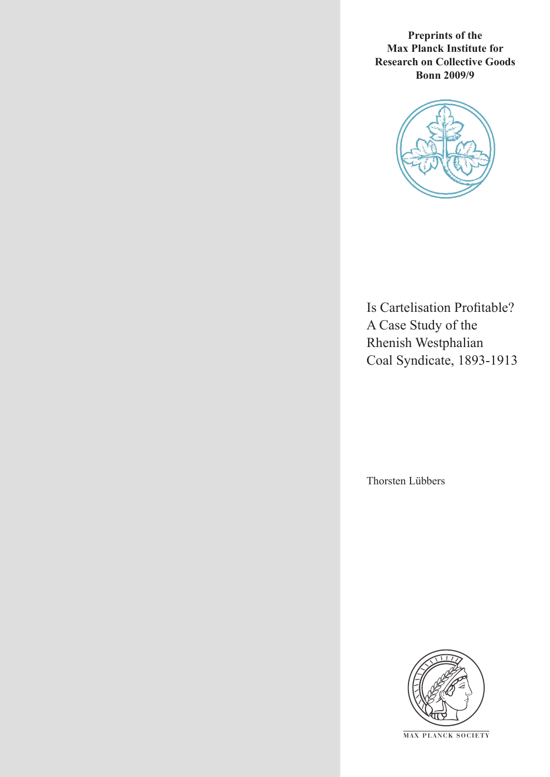**Preprints of the Max Planck Institute for Research on Collective Goods Bonn 2009/9**



Is Cartelisation Profitable? A Case Study of the Rhenish Westphalian Coal Syndicate, 1893-1913

Thorsten Lübbers



**M AX P L A N C K S O C I E T Y**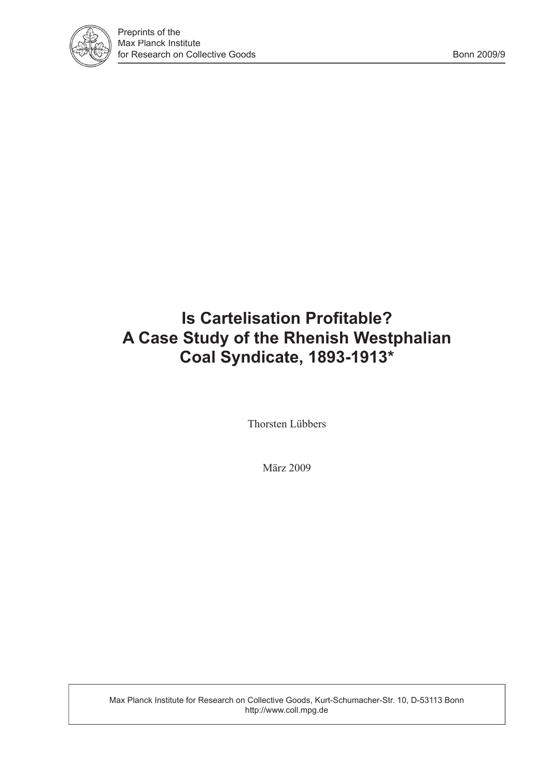

# **Is Cartelisation Profitable? A Case Study of the Rhenish Westphalian Coal Syndicate, 1893-1913\***

Thorsten Lübbers

März 2009

Max Planck Institute for Research on Collective Goods, Kurt-Schumacher-Str. 10, D-53113 Bonn http://www.coll.mpg.de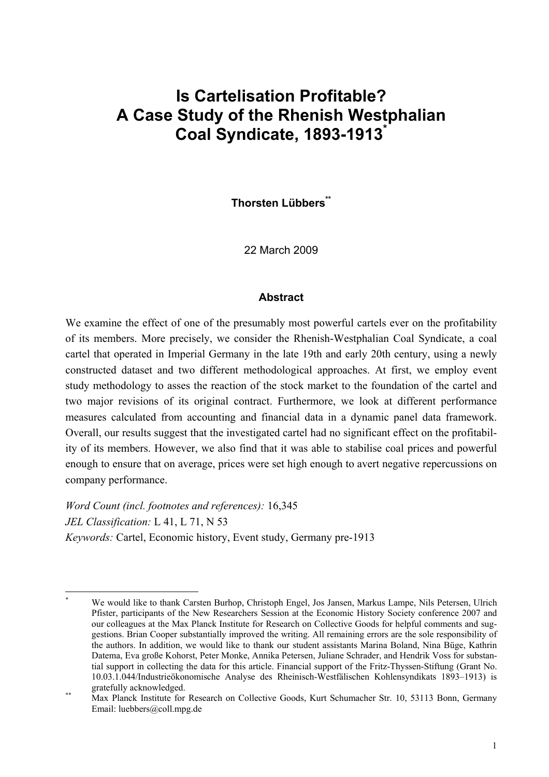# **Is Cartelisation Profitable? A Case Study of the Rhenish Westphalian Coal Syndicate, 1893-1913\***

**Thorsten Lübbers\*\***

22 March 2009

#### **Abstract**

We examine the effect of one of the presumably most powerful cartels ever on the profitability of its members. More precisely, we consider the Rhenish-Westphalian Coal Syndicate, a coal cartel that operated in Imperial Germany in the late 19th and early 20th century, using a newly constructed dataset and two different methodological approaches. At first, we employ event study methodology to asses the reaction of the stock market to the foundation of the cartel and two major revisions of its original contract. Furthermore, we look at different performance measures calculated from accounting and financial data in a dynamic panel data framework. Overall, our results suggest that the investigated cartel had no significant effect on the profitability of its members. However, we also find that it was able to stabilise coal prices and powerful enough to ensure that on average, prices were set high enough to avert negative repercussions on company performance.

*Word Count (incl. footnotes and references):* 16,345 *JEL Classification:* L 41, L 71, N 53 *Keywords:* Cartel, Economic history, Event study, Germany pre-1913

 $\overline{a}$ \* We would like to thank Carsten Burhop, Christoph Engel, Jos Jansen, Markus Lampe, Nils Petersen, Ulrich Pfister, participants of the New Researchers Session at the Economic History Society conference 2007 and our colleagues at the Max Planck Institute for Research on Collective Goods for helpful comments and suggestions. Brian Cooper substantially improved the writing. All remaining errors are the sole responsibility of the authors. In addition, we would like to thank our student assistants Marina Boland, Nina Büge, Kathrin Datema, Eva große Kohorst, Peter Monke, Annika Petersen, Juliane Schrader, and Hendrik Voss for substantial support in collecting the data for this article. Financial support of the Fritz-Thyssen-Stiftung (Grant No. 10.03.1.044/Industrieökonomische Analyse des Rheinisch-Westfälischen Kohlensyndikats 1893–1913) is

gratefully acknowledged. \*\* Max Planck Institute for Research on Collective Goods, Kurt Schumacher Str. 10, 53113 Bonn, Germany Email: luebbers@coll.mpg.de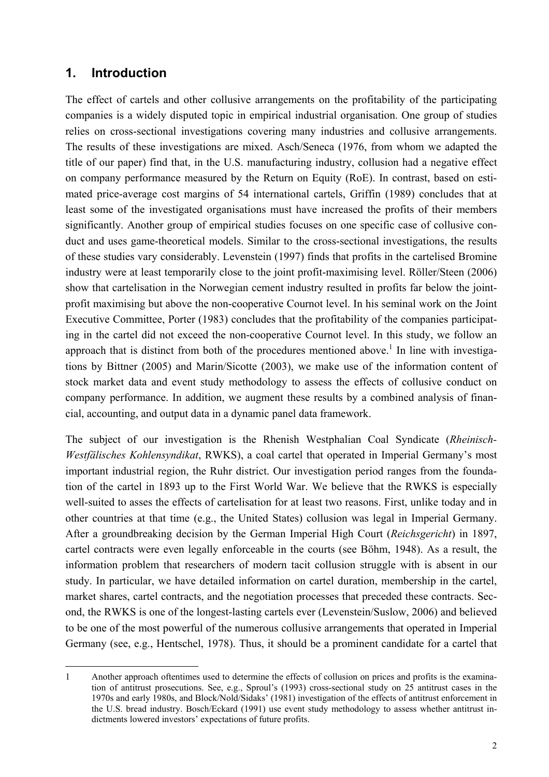## **1. Introduction**

 $\overline{a}$ 

The effect of cartels and other collusive arrangements on the profitability of the participating companies is a widely disputed topic in empirical industrial organisation. One group of studies relies on cross-sectional investigations covering many industries and collusive arrangements. The results of these investigations are mixed. Asch/Seneca (1976, from whom we adapted the title of our paper) find that, in the U.S. manufacturing industry, collusion had a negative effect on company performance measured by the Return on Equity (RoE). In contrast, based on estimated price-average cost margins of 54 international cartels, Griffin (1989) concludes that at least some of the investigated organisations must have increased the profits of their members significantly. Another group of empirical studies focuses on one specific case of collusive conduct and uses game-theoretical models. Similar to the cross-sectional investigations, the results of these studies vary considerably. Levenstein (1997) finds that profits in the cartelised Bromine industry were at least temporarily close to the joint profit-maximising level. Röller/Steen (2006) show that cartelisation in the Norwegian cement industry resulted in profits far below the jointprofit maximising but above the non-cooperative Cournot level. In his seminal work on the Joint Executive Committee, Porter (1983) concludes that the profitability of the companies participating in the cartel did not exceed the non-cooperative Cournot level. In this study, we follow an approach that is distinct from both of the procedures mentioned above.<sup>1</sup> In line with investigations by Bittner (2005) and Marin/Sicotte (2003), we make use of the information content of stock market data and event study methodology to assess the effects of collusive conduct on company performance. In addition, we augment these results by a combined analysis of financial, accounting, and output data in a dynamic panel data framework.

The subject of our investigation is the Rhenish Westphalian Coal Syndicate (*Rheinisch-Westfälisches Kohlensyndikat*, RWKS), a coal cartel that operated in Imperial Germany's most important industrial region, the Ruhr district. Our investigation period ranges from the foundation of the cartel in 1893 up to the First World War. We believe that the RWKS is especially well-suited to asses the effects of cartelisation for at least two reasons. First, unlike today and in other countries at that time (e.g., the United States) collusion was legal in Imperial Germany. After a groundbreaking decision by the German Imperial High Court (*Reichsgericht*) in 1897, cartel contracts were even legally enforceable in the courts (see Böhm, 1948). As a result, the information problem that researchers of modern tacit collusion struggle with is absent in our study. In particular, we have detailed information on cartel duration, membership in the cartel, market shares, cartel contracts, and the negotiation processes that preceded these contracts. Second, the RWKS is one of the longest-lasting cartels ever (Levenstein/Suslow, 2006) and believed to be one of the most powerful of the numerous collusive arrangements that operated in Imperial Germany (see, e.g., Hentschel, 1978). Thus, it should be a prominent candidate for a cartel that

<sup>1</sup> Another approach oftentimes used to determine the effects of collusion on prices and profits is the examination of antitrust prosecutions. See, e.g., Sproul's (1993) cross-sectional study on 25 antitrust cases in the 1970s and early 1980s, and Block/Nold/Sidaks' (1981) investigation of the effects of antitrust enforcement in the U.S. bread industry. Bosch/Eckard (1991) use event study methodology to assess whether antitrust indictments lowered investors' expectations of future profits.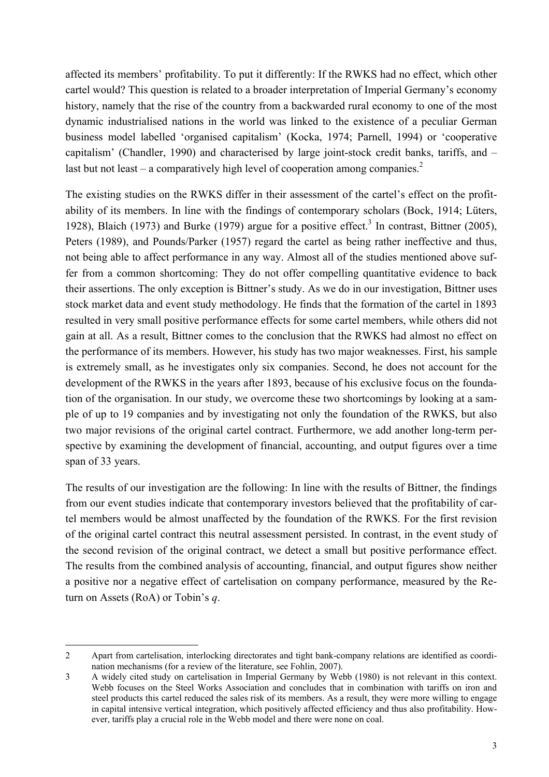affected its members' profitability. To put it differently: If the RWKS had no effect, which other cartel would? This question is related to a broader interpretation of Imperial Germany's economy history, namely that the rise of the country from a backwarded rural economy to one of the most dynamic industrialised nations in the world was linked to the existence of a peculiar German business model labelled 'organised capitalism' (Kocka, 1974; Parnell, 1994) or 'cooperative capitalism' (Chandler, 1990) and characterised by large joint-stock credit banks, tariffs, and – last but not least – a comparatively high level of cooperation among companies.<sup>2</sup>

The existing studies on the RWKS differ in their assessment of the cartel's effect on the profitability of its members. In line with the findings of contemporary scholars (Bock, 1914; Lüters, 1928), Blaich (1973) and Burke (1979) argue for a positive effect.<sup>3</sup> In contrast, Bittner (2005), Peters (1989), and Pounds/Parker (1957) regard the cartel as being rather ineffective and thus, not being able to affect performance in any way. Almost all of the studies mentioned above suffer from a common shortcoming: They do not offer compelling quantitative evidence to back their assertions. The only exception is Bittner's study. As we do in our investigation, Bittner uses stock market data and event study methodology. He finds that the formation of the cartel in 1893 resulted in very small positive performance effects for some cartel members, while others did not gain at all. As a result, Bittner comes to the conclusion that the RWKS had almost no effect on the performance of its members. However, his study has two major weaknesses. First, his sample is extremely small, as he investigates only six companies. Second, he does not account for the development of the RWKS in the years after 1893, because of his exclusive focus on the foundation of the organisation. In our study, we overcome these two shortcomings by looking at a sample of up to 19 companies and by investigating not only the foundation of the RWKS, but also two major revisions of the original cartel contract. Furthermore, we add another long-term perspective by examining the development of financial, accounting, and output figures over a time span of 33 years.

The results of our investigation are the following: In line with the results of Bittner, the findings from our event studies indicate that contemporary investors believed that the profitability of cartel members would be almost unaffected by the foundation of the RWKS. For the first revision of the original cartel contract this neutral assessment persisted. In contrast, in the event study of the second revision of the original contract, we detect a small but positive performance effect. The results from the combined analysis of accounting, financial, and output figures show neither a positive nor a negative effect of cartelisation on company performance, measured by the Return on Assets (RoA) or Tobin's *q*.

j

<sup>2</sup> Apart from cartelisation, interlocking directorates and tight bank-company relations are identified as coordination mechanisms (for a review of the literature, see Fohlin, 2007).

<sup>3</sup> A widely cited study on cartelisation in Imperial Germany by Webb (1980) is not relevant in this context. Webb focuses on the Steel Works Association and concludes that in combination with tariffs on iron and steel products this cartel reduced the sales risk of its members. As a result, they were more willing to engage in capital intensive vertical integration, which positively affected efficiency and thus also profitability. However, tariffs play a crucial role in the Webb model and there were none on coal.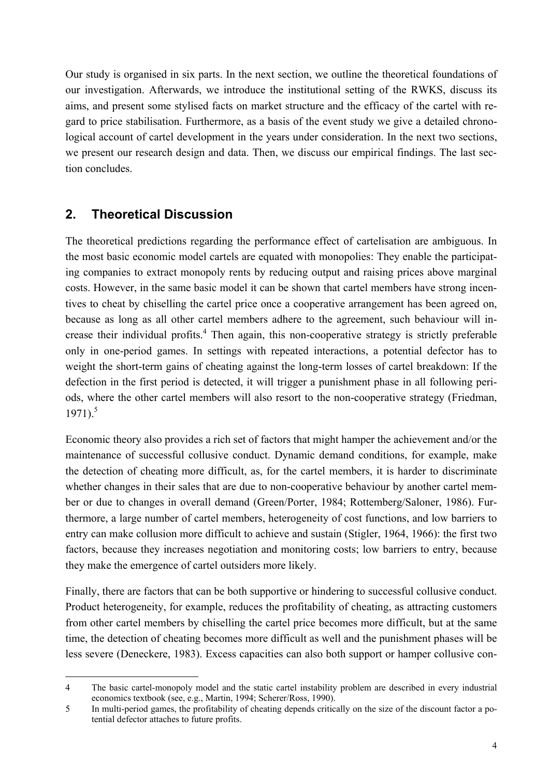Our study is organised in six parts. In the next section, we outline the theoretical foundations of our investigation. Afterwards, we introduce the institutional setting of the RWKS, discuss its aims, and present some stylised facts on market structure and the efficacy of the cartel with regard to price stabilisation. Furthermore, as a basis of the event study we give a detailed chronological account of cartel development in the years under consideration. In the next two sections, we present our research design and data. Then, we discuss our empirical findings. The last section concludes.

# **2. Theoretical Discussion**

The theoretical predictions regarding the performance effect of cartelisation are ambiguous. In the most basic economic model cartels are equated with monopolies: They enable the participating companies to extract monopoly rents by reducing output and raising prices above marginal costs. However, in the same basic model it can be shown that cartel members have strong incentives to cheat by chiselling the cartel price once a cooperative arrangement has been agreed on, because as long as all other cartel members adhere to the agreement, such behaviour will increase their individual profits.<sup>4</sup> Then again, this non-cooperative strategy is strictly preferable only in one-period games. In settings with repeated interactions, a potential defector has to weight the short-term gains of cheating against the long-term losses of cartel breakdown: If the defection in the first period is detected, it will trigger a punishment phase in all following periods, where the other cartel members will also resort to the non-cooperative strategy (Friedman,  $1971$ .<sup>5</sup>

Economic theory also provides a rich set of factors that might hamper the achievement and/or the maintenance of successful collusive conduct. Dynamic demand conditions, for example, make the detection of cheating more difficult, as, for the cartel members, it is harder to discriminate whether changes in their sales that are due to non-cooperative behaviour by another cartel member or due to changes in overall demand (Green/Porter, 1984; Rottemberg/Saloner, 1986). Furthermore, a large number of cartel members, heterogeneity of cost functions, and low barriers to entry can make collusion more difficult to achieve and sustain (Stigler, 1964, 1966): the first two factors, because they increases negotiation and monitoring costs; low barriers to entry, because they make the emergence of cartel outsiders more likely.

Finally, there are factors that can be both supportive or hindering to successful collusive conduct. Product heterogeneity, for example, reduces the profitability of cheating, as attracting customers from other cartel members by chiselling the cartel price becomes more difficult, but at the same time, the detection of cheating becomes more difficult as well and the punishment phases will be less severe (Deneckere, 1983). Excess capacities can also both support or hamper collusive con-

j 4 The basic cartel-monopoly model and the static cartel instability problem are described in every industrial economics textbook (see, e.g., Martin, 1994; Scherer/Ross, 1990).

<sup>5</sup> In multi-period games, the profitability of cheating depends critically on the size of the discount factor a potential defector attaches to future profits.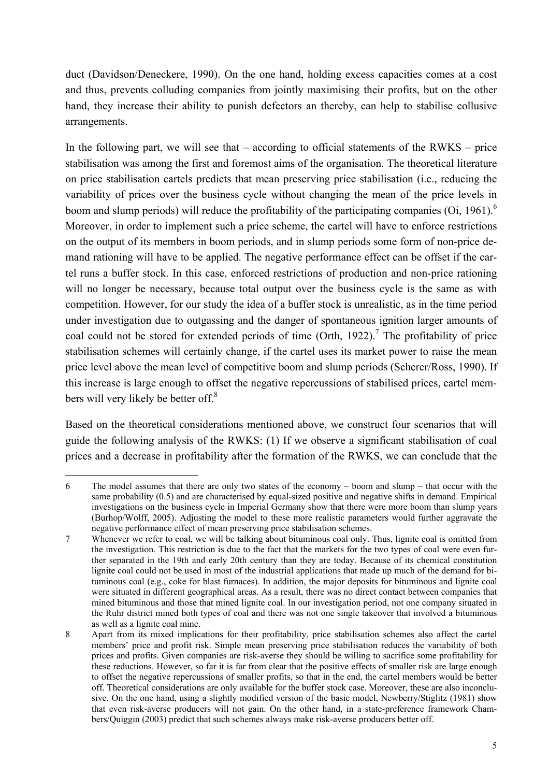duct (Davidson/Deneckere, 1990). On the one hand, holding excess capacities comes at a cost and thus, prevents colluding companies from jointly maximising their profits, but on the other hand, they increase their ability to punish defectors an thereby, can help to stabilise collusive arrangements.

In the following part, we will see that  $-$  according to official statements of the RWKS  $-$  price stabilisation was among the first and foremost aims of the organisation. The theoretical literature on price stabilisation cartels predicts that mean preserving price stabilisation (i.e., reducing the variability of prices over the business cycle without changing the mean of the price levels in boom and slump periods) will reduce the profitability of the participating companies (Oi, 1961).<sup>6</sup> Moreover, in order to implement such a price scheme, the cartel will have to enforce restrictions on the output of its members in boom periods, and in slump periods some form of non-price demand rationing will have to be applied. The negative performance effect can be offset if the cartel runs a buffer stock. In this case, enforced restrictions of production and non-price rationing will no longer be necessary, because total output over the business cycle is the same as with competition. However, for our study the idea of a buffer stock is unrealistic, as in the time period under investigation due to outgassing and the danger of spontaneous ignition larger amounts of coal could not be stored for extended periods of time (Orth,  $1922$ ).<sup>7</sup> The profitability of price stabilisation schemes will certainly change, if the cartel uses its market power to raise the mean price level above the mean level of competitive boom and slump periods (Scherer/Ross, 1990). If this increase is large enough to offset the negative repercussions of stabilised prices, cartel members will very likely be better off.<sup>8</sup>

Based on the theoretical considerations mentioned above, we construct four scenarios that will guide the following analysis of the RWKS: (1) If we observe a significant stabilisation of coal prices and a decrease in profitability after the formation of the RWKS, we can conclude that the

j 6 The model assumes that there are only two states of the economy – boom and slump – that occur with the same probability (0.5) and are characterised by equal-sized positive and negative shifts in demand. Empirical investigations on the business cycle in Imperial Germany show that there were more boom than slump years (Burhop/Wolff, 2005). Adjusting the model to these more realistic parameters would further aggravate the negative performance effect of mean preserving price stabilisation schemes.

<sup>7</sup> Whenever we refer to coal, we will be talking about bituminous coal only. Thus, lignite coal is omitted from the investigation. This restriction is due to the fact that the markets for the two types of coal were even further separated in the 19th and early 20th century than they are today. Because of its chemical constitution lignite coal could not be used in most of the industrial applications that made up much of the demand for bituminous coal (e.g., coke for blast furnaces). In addition, the major deposits for bituminous and lignite coal were situated in different geographical areas. As a result, there was no direct contact between companies that mined bituminous and those that mined lignite coal. In our investigation period, not one company situated in the Ruhr district mined both types of coal and there was not one single takeover that involved a bituminous as well as a lignite coal mine.

<sup>8</sup> Apart from its mixed implications for their profitability, price stabilisation schemes also affect the cartel members' price and profit risk. Simple mean preserving price stabilisation reduces the variability of both prices and profits. Given companies are risk-averse they should be willing to sacrifice some profitability for these reductions. However, so far it is far from clear that the positive effects of smaller risk are large enough to offset the negative repercussions of smaller profits, so that in the end, the cartel members would be better off. Theoretical considerations are only available for the buffer stock case. Moreover, these are also inconclusive. On the one hand, using a slightly modified version of the basic model, Newberry/Stiglitz (1981) show that even risk-averse producers will not gain. On the other hand, in a state-preference framework Chambers/Quiggin (2003) predict that such schemes always make risk-averse producers better off.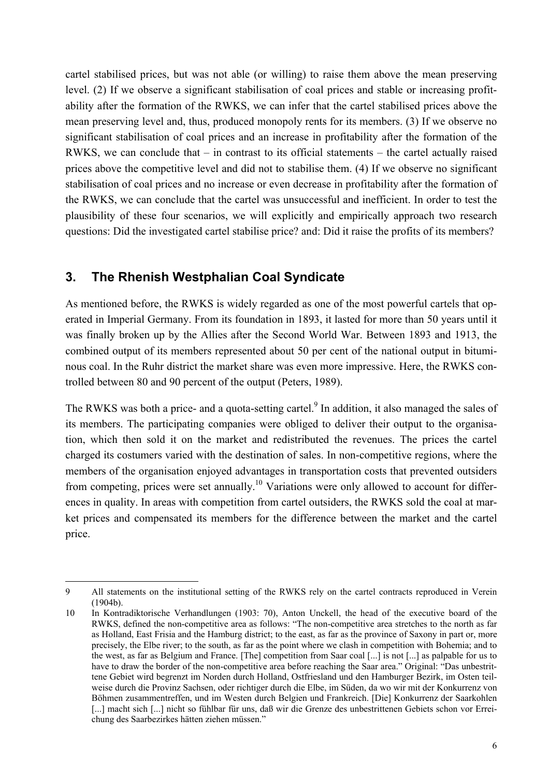cartel stabilised prices, but was not able (or willing) to raise them above the mean preserving level. (2) If we observe a significant stabilisation of coal prices and stable or increasing profitability after the formation of the RWKS, we can infer that the cartel stabilised prices above the mean preserving level and, thus, produced monopoly rents for its members. (3) If we observe no significant stabilisation of coal prices and an increase in profitability after the formation of the RWKS, we can conclude that – in contrast to its official statements – the cartel actually raised prices above the competitive level and did not to stabilise them. (4) If we observe no significant stabilisation of coal prices and no increase or even decrease in profitability after the formation of the RWKS, we can conclude that the cartel was unsuccessful and inefficient. In order to test the plausibility of these four scenarios, we will explicitly and empirically approach two research questions: Did the investigated cartel stabilise price? and: Did it raise the profits of its members?

# **3. The Rhenish Westphalian Coal Syndicate**

As mentioned before, the RWKS is widely regarded as one of the most powerful cartels that operated in Imperial Germany. From its foundation in 1893, it lasted for more than 50 years until it was finally broken up by the Allies after the Second World War. Between 1893 and 1913, the combined output of its members represented about 50 per cent of the national output in bituminous coal. In the Ruhr district the market share was even more impressive. Here, the RWKS controlled between 80 and 90 percent of the output (Peters, 1989).

The RWKS was both a price- and a quota-setting cartel.<sup>9</sup> In addition, it also managed the sales of its members. The participating companies were obliged to deliver their output to the organisation, which then sold it on the market and redistributed the revenues. The prices the cartel charged its costumers varied with the destination of sales. In non-competitive regions, where the members of the organisation enjoyed advantages in transportation costs that prevented outsiders from competing, prices were set annually.<sup>10</sup> Variations were only allowed to account for differences in quality. In areas with competition from cartel outsiders, the RWKS sold the coal at market prices and compensated its members for the difference between the market and the cartel price.

j 9 All statements on the institutional setting of the RWKS rely on the cartel contracts reproduced in Verein (1904b).

<sup>10</sup> In Kontradiktorische Verhandlungen (1903: 70), Anton Unckell, the head of the executive board of the RWKS, defined the non-competitive area as follows: "The non-competitive area stretches to the north as far as Holland, East Frisia and the Hamburg district; to the east, as far as the province of Saxony in part or, more precisely, the Elbe river; to the south, as far as the point where we clash in competition with Bohemia; and to the west, as far as Belgium and France. [The] competition from Saar coal [...] is not [...] as palpable for us to have to draw the border of the non-competitive area before reaching the Saar area." Original: "Das unbestrittene Gebiet wird begrenzt im Norden durch Holland, Ostfriesland und den Hamburger Bezirk, im Osten teilweise durch die Provinz Sachsen, oder richtiger durch die Elbe, im Süden, da wo wir mit der Konkurrenz von Böhmen zusammentreffen, und im Westen durch Belgien und Frankreich. [Die] Konkurrenz der Saarkohlen [...] macht sich [...] nicht so fühlbar für uns, daß wir die Grenze des unbestrittenen Gebiets schon vor Erreichung des Saarbezirkes hätten ziehen müssen."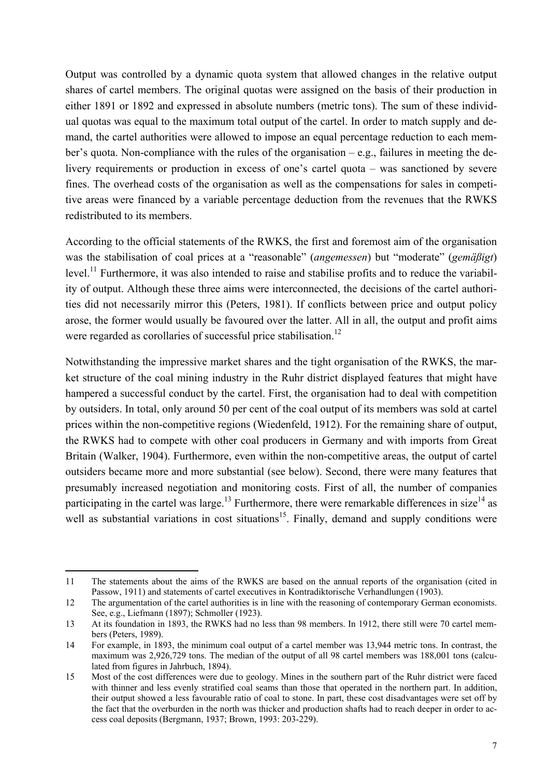Output was controlled by a dynamic quota system that allowed changes in the relative output shares of cartel members. The original quotas were assigned on the basis of their production in either 1891 or 1892 and expressed in absolute numbers (metric tons). The sum of these individual quotas was equal to the maximum total output of the cartel. In order to match supply and demand, the cartel authorities were allowed to impose an equal percentage reduction to each member's quota. Non-compliance with the rules of the organisation – e.g., failures in meeting the delivery requirements or production in excess of one's cartel quota – was sanctioned by severe fines. The overhead costs of the organisation as well as the compensations for sales in competitive areas were financed by a variable percentage deduction from the revenues that the RWKS redistributed to its members.

According to the official statements of the RWKS, the first and foremost aim of the organisation was the stabilisation of coal prices at a "reasonable" (*angemessen*) but "moderate" (*gemäßigt*) level.<sup>11</sup> Furthermore, it was also intended to raise and stabilise profits and to reduce the variability of output. Although these three aims were interconnected, the decisions of the cartel authorities did not necessarily mirror this (Peters, 1981). If conflicts between price and output policy arose, the former would usually be favoured over the latter. All in all, the output and profit aims were regarded as corollaries of successful price stabilisation.<sup>12</sup>

Notwithstanding the impressive market shares and the tight organisation of the RWKS, the market structure of the coal mining industry in the Ruhr district displayed features that might have hampered a successful conduct by the cartel. First, the organisation had to deal with competition by outsiders. In total, only around 50 per cent of the coal output of its members was sold at cartel prices within the non-competitive regions (Wiedenfeld, 1912). For the remaining share of output, the RWKS had to compete with other coal producers in Germany and with imports from Great Britain (Walker, 1904). Furthermore, even within the non-competitive areas, the output of cartel outsiders became more and more substantial (see below). Second, there were many features that presumably increased negotiation and monitoring costs. First of all, the number of companies participating in the cartel was large.<sup>13</sup> Furthermore, there were remarkable differences in size<sup>14</sup> as well as substantial variations in cost situations<sup>15</sup>. Finally, demand and supply conditions were

j

<sup>11</sup> The statements about the aims of the RWKS are based on the annual reports of the organisation (cited in Passow, 1911) and statements of cartel executives in Kontradiktorische Verhandlungen (1903).

<sup>12</sup> The argumentation of the cartel authorities is in line with the reasoning of contemporary German economists. See, e.g., Liefmann (1897); Schmoller (1923).

<sup>13</sup> At its foundation in 1893, the RWKS had no less than 98 members. In 1912, there still were 70 cartel members (Peters, 1989).

<sup>14</sup> For example, in 1893, the minimum coal output of a cartel member was 13,944 metric tons. In contrast, the maximum was 2,926,729 tons. The median of the output of all 98 cartel members was 188,001 tons (calculated from figures in Jahrbuch, 1894).

<sup>15</sup> Most of the cost differences were due to geology. Mines in the southern part of the Ruhr district were faced with thinner and less evenly stratified coal seams than those that operated in the northern part. In addition, their output showed a less favourable ratio of coal to stone. In part, these cost disadvantages were set off by the fact that the overburden in the north was thicker and production shafts had to reach deeper in order to access coal deposits (Bergmann, 1937; Brown, 1993: 203-229).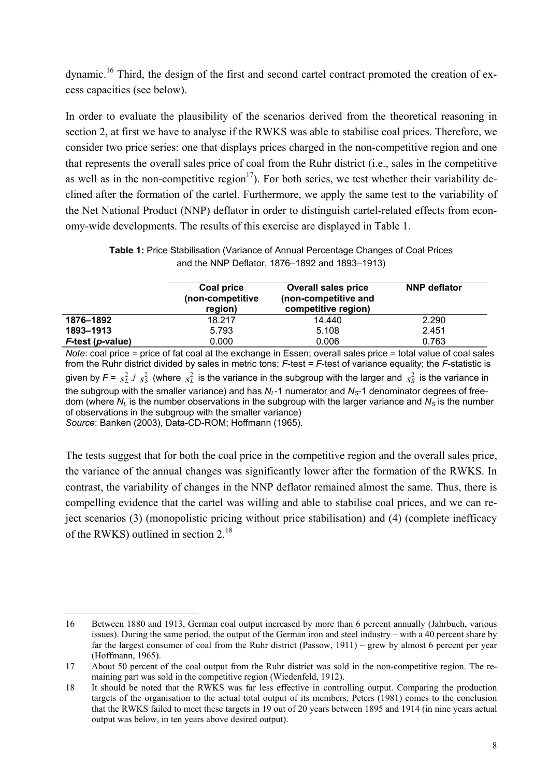dynamic.16 Third, the design of the first and second cartel contract promoted the creation of excess capacities (see below).

In order to evaluate the plausibility of the scenarios derived from the theoretical reasoning in section 2, at first we have to analyse if the RWKS was able to stabilise coal prices. Therefore, we consider two price series: one that displays prices charged in the non-competitive region and one that represents the overall sales price of coal from the Ruhr district (i.e., sales in the competitive as well as in the non-competitive region<sup>17</sup>). For both series, we test whether their variability declined after the formation of the cartel. Furthermore, we apply the same test to the variability of the Net National Product (NNP) deflator in order to distinguish cartel-related effects from economy-wide developments. The results of this exercise are displayed in Table 1.

**Table 1:** Price Stabilisation (Variance of Annual Percentage Changes of Coal Prices and the NNP Deflator, 1876–1892 and 1893–1913)

|                  | Coal price<br>(non-competitive<br>region) | <b>Overall sales price</b><br>(non-competitive and<br>competitive region)                                                                                                                                                                                 | <b>NNP</b> deflator |
|------------------|-------------------------------------------|-----------------------------------------------------------------------------------------------------------------------------------------------------------------------------------------------------------------------------------------------------------|---------------------|
| 1876–1892        | 18.217                                    | 14.440                                                                                                                                                                                                                                                    | 2.290               |
| 1893-1913        | 5.793                                     | 5.108                                                                                                                                                                                                                                                     | 2.451               |
| F-test (p-value) | 0.000                                     | 0.006                                                                                                                                                                                                                                                     | 0.763               |
|                  |                                           | $\mathbf{u} \cdot \mathbf{v} = \mathbf{u} \cdot \mathbf{v}$ , and the contract of the contract of the contract of the contract of the contract of the contract of the contract of the contract of the contract of the contract of the contract of the con |                     |

*Note*: coal price = price of fat coal at the exchange in Essen; overall sales price = total value of coal sales from the Ruhr district divided by sales in metric tons; *F*-test = *F*-test of variance equality; the *F*-statistic is given by  $F = s_L^2$  ./  $s_S^2$  (where  $s_L^2$  is the variance in the subgroup with the larger and  $s_S^2$  is the variance in the subgroup with the smaller variance) and has  $N_L$ -1 numerator and  $N_S$ -1 denominator degrees of freedom (where  $N_L$  is the number observations in the subgroup with the larger variance and  $N_S$  is the number of observations in the subgroup with the smaller variance)

*Source*: Banken (2003), Data-CD-ROM; Hoffmann (1965).

The tests suggest that for both the coal price in the competitive region and the overall sales price, the variance of the annual changes was significantly lower after the formation of the RWKS. In contrast, the variability of changes in the NNP deflator remained almost the same. Thus, there is compelling evidence that the cartel was willing and able to stabilise coal prices, and we can reject scenarios (3) (monopolistic pricing without price stabilisation) and (4) (complete inefficacy of the RWKS) outlined in section 2.18

j 16 Between 1880 and 1913, German coal output increased by more than 6 percent annually (Jahrbuch, various issues). During the same period, the output of the German iron and steel industry – with a 40 percent share by far the largest consumer of coal from the Ruhr district (Passow, 1911) – grew by almost 6 percent per year (Hoffmann, 1965).

<sup>17</sup> About 50 percent of the coal output from the Ruhr district was sold in the non-competitive region. The remaining part was sold in the competitive region (Wiedenfeld, 1912).

<sup>18</sup> It should be noted that the RWKS was far less effective in controlling output. Comparing the production targets of the organisation to the actual total output of its members, Peters (1981) comes to the conclusion that the RWKS failed to meet these targets in 19 out of 20 years between 1895 and 1914 (in nine years actual output was below, in ten years above desired output).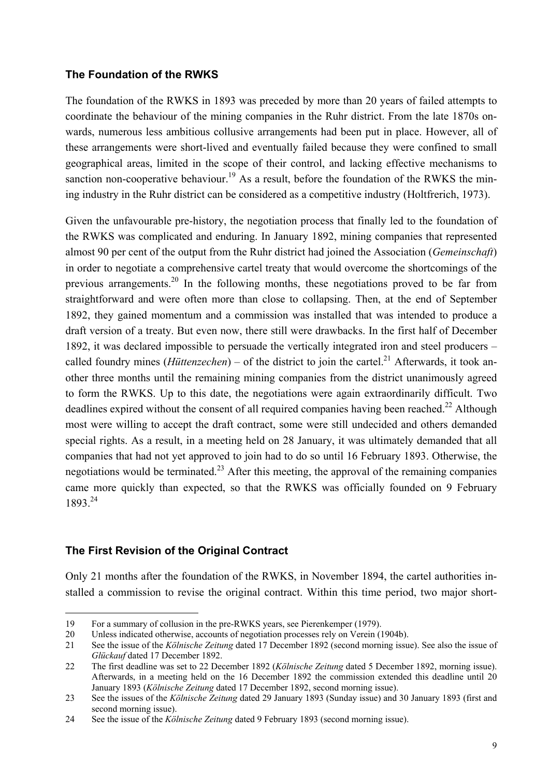#### **The Foundation of the RWKS**

The foundation of the RWKS in 1893 was preceded by more than 20 years of failed attempts to coordinate the behaviour of the mining companies in the Ruhr district. From the late 1870s onwards, numerous less ambitious collusive arrangements had been put in place. However, all of these arrangements were short-lived and eventually failed because they were confined to small geographical areas, limited in the scope of their control, and lacking effective mechanisms to sanction non-cooperative behaviour.<sup>19</sup> As a result, before the foundation of the RWKS the mining industry in the Ruhr district can be considered as a competitive industry (Holtfrerich, 1973).

Given the unfavourable pre-history, the negotiation process that finally led to the foundation of the RWKS was complicated and enduring. In January 1892, mining companies that represented almost 90 per cent of the output from the Ruhr district had joined the Association (*Gemeinschaft*) in order to negotiate a comprehensive cartel treaty that would overcome the shortcomings of the previous arrangements.<sup>20</sup> In the following months, these negotiations proved to be far from straightforward and were often more than close to collapsing. Then, at the end of September 1892, they gained momentum and a commission was installed that was intended to produce a draft version of a treaty. But even now, there still were drawbacks. In the first half of December 1892, it was declared impossible to persuade the vertically integrated iron and steel producers – called foundry mines (*Hüttenzechen*) – of the district to join the cartel.<sup>21</sup> Afterwards, it took another three months until the remaining mining companies from the district unanimously agreed to form the RWKS. Up to this date, the negotiations were again extraordinarily difficult. Two deadlines expired without the consent of all required companies having been reached.<sup>22</sup> Although most were willing to accept the draft contract, some were still undecided and others demanded special rights. As a result, in a meeting held on 28 January, it was ultimately demanded that all companies that had not yet approved to join had to do so until 16 February 1893. Otherwise, the negotiations would be terminated.<sup>23</sup> After this meeting, the approval of the remaining companies came more quickly than expected, so that the RWKS was officially founded on 9 February 1893.<sup>24</sup>

## **The First Revision of the Original Contract**

j

Only 21 months after the foundation of the RWKS, in November 1894, the cartel authorities installed a commission to revise the original contract. Within this time period, two major short-

<sup>19</sup> For a summary of collusion in the pre-RWKS years, see Pierenkemper (1979).

<sup>20</sup> Unless indicated otherwise, accounts of negotiation processes rely on Verein (1904b).

<sup>21</sup> See the issue of the *Kölnische Zeitung* dated 17 December 1892 (second morning issue). See also the issue of *Glückauf* dated 17 December 1892.

<sup>22</sup> The first deadline was set to 22 December 1892 (*Kölnische Zeitung* dated 5 December 1892, morning issue). Afterwards, in a meeting held on the 16 December 1892 the commission extended this deadline until 20 January 1893 (*Kölnische Zeitung* dated 17 December 1892, second morning issue).

<sup>23</sup> See the issues of the *Kölnische Zeitung* dated 29 January 1893 (Sunday issue) and 30 January 1893 (first and second morning issue).

<sup>24</sup> See the issue of the *Kölnische Zeitung* dated 9 February 1893 (second morning issue).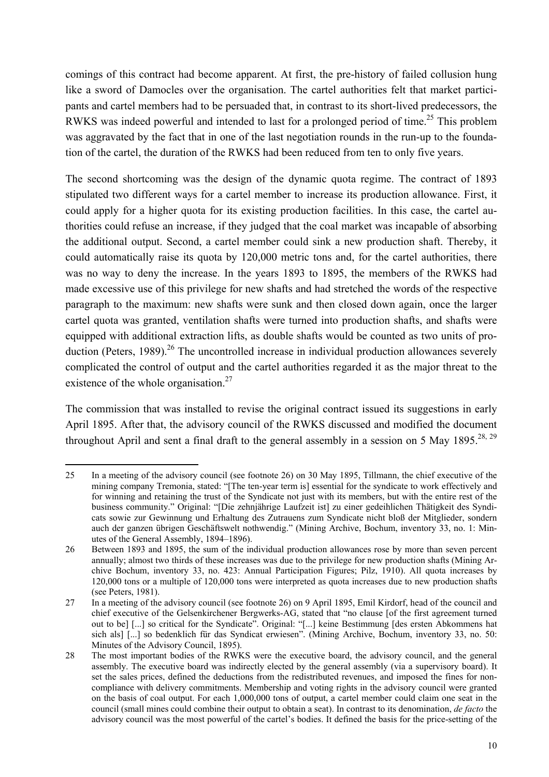comings of this contract had become apparent. At first, the pre-history of failed collusion hung like a sword of Damocles over the organisation. The cartel authorities felt that market participants and cartel members had to be persuaded that, in contrast to its short-lived predecessors, the RWKS was indeed powerful and intended to last for a prolonged period of time.<sup>25</sup> This problem was aggravated by the fact that in one of the last negotiation rounds in the run-up to the foundation of the cartel, the duration of the RWKS had been reduced from ten to only five years.

The second shortcoming was the design of the dynamic quota regime. The contract of 1893 stipulated two different ways for a cartel member to increase its production allowance. First, it could apply for a higher quota for its existing production facilities. In this case, the cartel authorities could refuse an increase, if they judged that the coal market was incapable of absorbing the additional output. Second, a cartel member could sink a new production shaft. Thereby, it could automatically raise its quota by 120,000 metric tons and, for the cartel authorities, there was no way to deny the increase. In the years 1893 to 1895, the members of the RWKS had made excessive use of this privilege for new shafts and had stretched the words of the respective paragraph to the maximum: new shafts were sunk and then closed down again, once the larger cartel quota was granted, ventilation shafts were turned into production shafts, and shafts were equipped with additional extraction lifts, as double shafts would be counted as two units of production (Peters, 1989).<sup>26</sup> The uncontrolled increase in individual production allowances severely complicated the control of output and the cartel authorities regarded it as the major threat to the existence of the whole organisation.<sup>27</sup>

The commission that was installed to revise the original contract issued its suggestions in early April 1895. After that, the advisory council of the RWKS discussed and modified the document throughout April and sent a final draft to the general assembly in a session on 5 May 1895.<sup>28, 29</sup>

 $\overline{a}$ 25 In a meeting of the advisory council (see footnote 26) on 30 May 1895, Tillmann, the chief executive of the mining company Tremonia, stated: "[The ten-year term is] essential for the syndicate to work effectively and for winning and retaining the trust of the Syndicate not just with its members, but with the entire rest of the business community." Original: "[Die zehnjährige Laufzeit ist] zu einer gedeihlichen Thätigkeit des Syndicats sowie zur Gewinnung und Erhaltung des Zutrauens zum Syndicate nicht bloß der Mitglieder, sondern auch der ganzen übrigen Geschäftswelt nothwendig." (Mining Archive, Bochum, inventory 33, no. 1: Minutes of the General Assembly, 1894–1896).

<sup>26</sup> Between 1893 and 1895, the sum of the individual production allowances rose by more than seven percent annually; almost two thirds of these increases was due to the privilege for new production shafts (Mining Archive Bochum, inventory 33, no. 423: Annual Participation Figures; Pilz, 1910). All quota increases by 120,000 tons or a multiple of 120,000 tons were interpreted as quota increases due to new production shafts (see Peters, 1981).

<sup>27</sup> In a meeting of the advisory council (see footnote 26) on 9 April 1895, Emil Kirdorf, head of the council and chief executive of the Gelsenkirchener Bergwerks-AG, stated that "no clause [of the first agreement turned out to be] [...] so critical for the Syndicate". Original: "[...] keine Bestimmung [des ersten Abkommens hat sich als] [...] so bedenklich für das Syndicat erwiesen". (Mining Archive, Bochum, inventory 33, no. 50: Minutes of the Advisory Council, 1895).

<sup>28</sup> The most important bodies of the RWKS were the executive board, the advisory council, and the general assembly. The executive board was indirectly elected by the general assembly (via a supervisory board). It set the sales prices, defined the deductions from the redistributed revenues, and imposed the fines for noncompliance with delivery commitments. Membership and voting rights in the advisory council were granted on the basis of coal output. For each 1,000,000 tons of output, a cartel member could claim one seat in the council (small mines could combine their output to obtain a seat). In contrast to its denomination, *de facto* the advisory council was the most powerful of the cartel's bodies. It defined the basis for the price-setting of the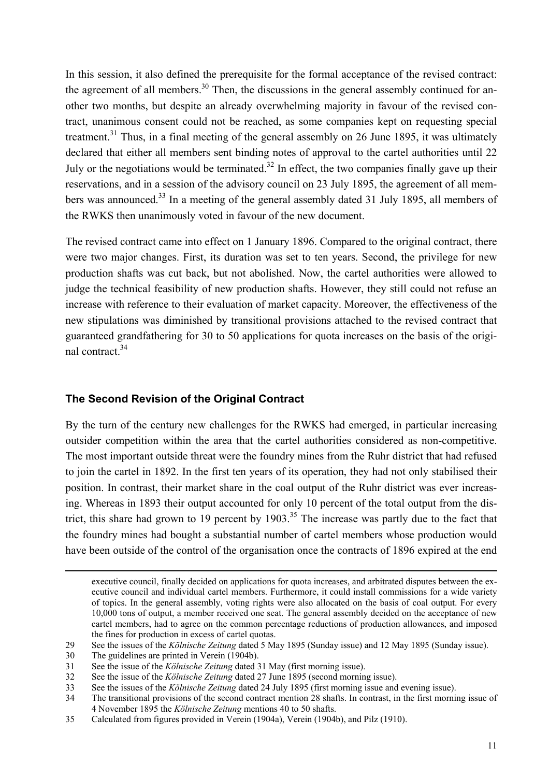In this session, it also defined the prerequisite for the formal acceptance of the revised contract: the agreement of all members.<sup>30</sup> Then, the discussions in the general assembly continued for another two months, but despite an already overwhelming majority in favour of the revised contract, unanimous consent could not be reached, as some companies kept on requesting special treatment.<sup>31</sup> Thus, in a final meeting of the general assembly on 26 June 1895, it was ultimately declared that either all members sent binding notes of approval to the cartel authorities until 22 July or the negotiations would be terminated.<sup>32</sup> In effect, the two companies finally gave up their reservations, and in a session of the advisory council on 23 July 1895, the agreement of all members was announced.<sup>33</sup> In a meeting of the general assembly dated 31 July 1895, all members of the RWKS then unanimously voted in favour of the new document.

The revised contract came into effect on 1 January 1896. Compared to the original contract, there were two major changes. First, its duration was set to ten years. Second, the privilege for new production shafts was cut back, but not abolished. Now, the cartel authorities were allowed to judge the technical feasibility of new production shafts. However, they still could not refuse an increase with reference to their evaluation of market capacity. Moreover, the effectiveness of the new stipulations was diminished by transitional provisions attached to the revised contract that guaranteed grandfathering for 30 to 50 applications for quota increases on the basis of the original contract.34

## **The Second Revision of the Original Contract**

By the turn of the century new challenges for the RWKS had emerged, in particular increasing outsider competition within the area that the cartel authorities considered as non-competitive. The most important outside threat were the foundry mines from the Ruhr district that had refused to join the cartel in 1892. In the first ten years of its operation, they had not only stabilised their position. In contrast, their market share in the coal output of the Ruhr district was ever increasing. Whereas in 1893 their output accounted for only 10 percent of the total output from the district, this share had grown to 19 percent by  $1903$ .<sup>35</sup> The increase was partly due to the fact that the foundry mines had bought a substantial number of cartel members whose production would have been outside of the control of the organisation once the contracts of 1896 expired at the end

j

executive council, finally decided on applications for quota increases, and arbitrated disputes between the executive council and individual cartel members. Furthermore, it could install commissions for a wide variety of topics. In the general assembly, voting rights were also allocated on the basis of coal output. For every 10,000 tons of output, a member received one seat. The general assembly decided on the acceptance of new cartel members, had to agree on the common percentage reductions of production allowances, and imposed the fines for production in excess of cartel quotas.

<sup>29</sup> See the issues of the *Kölnische Zeitung* dated 5 May 1895 (Sunday issue) and 12 May 1895 (Sunday issue).

<sup>30</sup> The guidelines are printed in Verein (1904b).

<sup>31</sup> See the issue of the *Kölnische Zeitung* dated 31 May (first morning issue).

<sup>32</sup> See the issue of the *Kölnische Zeitung* dated 27 June 1895 (second morning issue).

<sup>33</sup> See the issues of the *Kölnische Zeitung* dated 24 July 1895 (first morning issue and evening issue).

<sup>34</sup> The transitional provisions of the second contract mention 28 shafts. In contrast, in the first morning issue of 4 November 1895 the *Kölnische Zeitung* mentions 40 to 50 shafts.

<sup>35</sup> Calculated from figures provided in Verein (1904a), Verein (1904b), and Pilz (1910).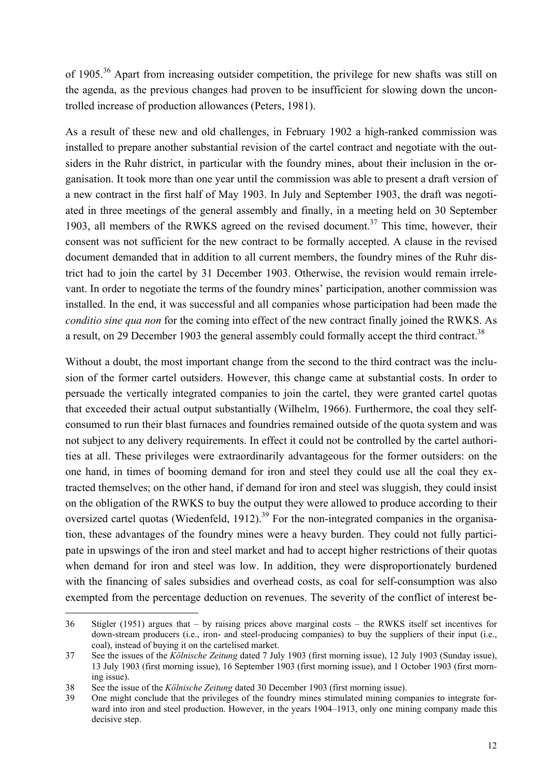of 1905.36 Apart from increasing outsider competition, the privilege for new shafts was still on the agenda, as the previous changes had proven to be insufficient for slowing down the uncontrolled increase of production allowances (Peters, 1981).

As a result of these new and old challenges, in February 1902 a high-ranked commission was installed to prepare another substantial revision of the cartel contract and negotiate with the outsiders in the Ruhr district, in particular with the foundry mines, about their inclusion in the organisation. It took more than one year until the commission was able to present a draft version of a new contract in the first half of May 1903. In July and September 1903, the draft was negotiated in three meetings of the general assembly and finally, in a meeting held on 30 September 1903, all members of the RWKS agreed on the revised document.<sup>37</sup> This time, however, their consent was not sufficient for the new contract to be formally accepted. A clause in the revised document demanded that in addition to all current members, the foundry mines of the Ruhr district had to join the cartel by 31 December 1903. Otherwise, the revision would remain irrelevant. In order to negotiate the terms of the foundry mines' participation, another commission was installed. In the end, it was successful and all companies whose participation had been made the *conditio sine qua non* for the coming into effect of the new contract finally joined the RWKS. As a result, on 29 December 1903 the general assembly could formally accept the third contract.<sup>38</sup>

Without a doubt, the most important change from the second to the third contract was the inclusion of the former cartel outsiders. However, this change came at substantial costs. In order to persuade the vertically integrated companies to join the cartel, they were granted cartel quotas that exceeded their actual output substantially (Wilhelm, 1966). Furthermore, the coal they selfconsumed to run their blast furnaces and foundries remained outside of the quota system and was not subject to any delivery requirements. In effect it could not be controlled by the cartel authorities at all. These privileges were extraordinarily advantageous for the former outsiders: on the one hand, in times of booming demand for iron and steel they could use all the coal they extracted themselves; on the other hand, if demand for iron and steel was sluggish, they could insist on the obligation of the RWKS to buy the output they were allowed to produce according to their oversized cartel quotas (Wiedenfeld, 1912).<sup>39</sup> For the non-integrated companies in the organisation, these advantages of the foundry mines were a heavy burden. They could not fully participate in upswings of the iron and steel market and had to accept higher restrictions of their quotas when demand for iron and steel was low. In addition, they were disproportionately burdened with the financing of sales subsidies and overhead costs, as coal for self-consumption was also exempted from the percentage deduction on revenues. The severity of the conflict of interest be-

j 36 Stigler (1951) argues that – by raising prices above marginal costs – the RWKS itself set incentives for down-stream producers (i.e., iron- and steel-producing companies) to buy the suppliers of their input (i.e., coal), instead of buying it on the cartelised market.

<sup>37</sup> See the issues of the *Kölnische Zeitung* dated 7 July 1903 (first morning issue), 12 July 1903 (Sunday issue), 13 July 1903 (first morning issue), 16 September 1903 (first morning issue), and 1 October 1903 (first morning issue).

<sup>38</sup> See the issue of the *Kölnische Zeitung* dated 30 December 1903 (first morning issue).

<sup>39</sup> One might conclude that the privileges of the foundry mines stimulated mining companies to integrate forward into iron and steel production. However, in the years 1904–1913, only one mining company made this decisive step.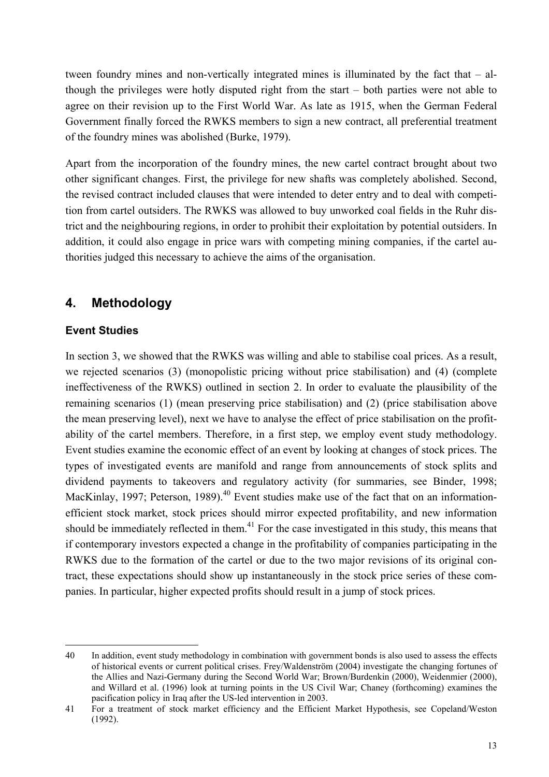tween foundry mines and non-vertically integrated mines is illuminated by the fact that – although the privileges were hotly disputed right from the start – both parties were not able to agree on their revision up to the First World War. As late as 1915, when the German Federal Government finally forced the RWKS members to sign a new contract, all preferential treatment of the foundry mines was abolished (Burke, 1979).

Apart from the incorporation of the foundry mines, the new cartel contract brought about two other significant changes. First, the privilege for new shafts was completely abolished. Second, the revised contract included clauses that were intended to deter entry and to deal with competition from cartel outsiders. The RWKS was allowed to buy unworked coal fields in the Ruhr district and the neighbouring regions, in order to prohibit their exploitation by potential outsiders. In addition, it could also engage in price wars with competing mining companies, if the cartel authorities judged this necessary to achieve the aims of the organisation.

# **4. Methodology**

## **Event Studies**

j

In section 3, we showed that the RWKS was willing and able to stabilise coal prices. As a result, we rejected scenarios (3) (monopolistic pricing without price stabilisation) and (4) (complete ineffectiveness of the RWKS) outlined in section 2. In order to evaluate the plausibility of the remaining scenarios (1) (mean preserving price stabilisation) and (2) (price stabilisation above the mean preserving level), next we have to analyse the effect of price stabilisation on the profitability of the cartel members. Therefore, in a first step, we employ event study methodology. Event studies examine the economic effect of an event by looking at changes of stock prices. The types of investigated events are manifold and range from announcements of stock splits and dividend payments to takeovers and regulatory activity (for summaries, see Binder, 1998; MacKinlay, 1997; Peterson, 1989).<sup>40</sup> Event studies make use of the fact that on an informationefficient stock market, stock prices should mirror expected profitability, and new information should be immediately reflected in them.<sup>41</sup> For the case investigated in this study, this means that if contemporary investors expected a change in the profitability of companies participating in the RWKS due to the formation of the cartel or due to the two major revisions of its original contract, these expectations should show up instantaneously in the stock price series of these companies. In particular, higher expected profits should result in a jump of stock prices.

<sup>40</sup> In addition, event study methodology in combination with government bonds is also used to assess the effects of historical events or current political crises. Frey/Waldenström (2004) investigate the changing fortunes of the Allies and Nazi-Germany during the Second World War; Brown/Burdenkin (2000), Weidenmier (2000), and Willard et al. (1996) look at turning points in the US Civil War; Chaney (forthcoming) examines the pacification policy in Iraq after the US-led intervention in 2003.

<sup>41</sup> For a treatment of stock market efficiency and the Efficient Market Hypothesis, see Copeland/Weston (1992).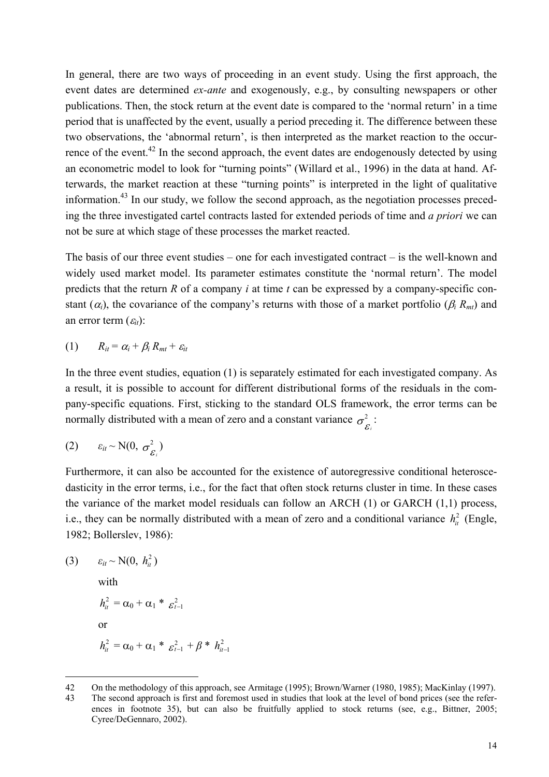In general, there are two ways of proceeding in an event study. Using the first approach, the event dates are determined *ex-ante* and exogenously, e.g., by consulting newspapers or other publications. Then, the stock return at the event date is compared to the 'normal return' in a time period that is unaffected by the event, usually a period preceding it. The difference between these two observations, the 'abnormal return', is then interpreted as the market reaction to the occurrence of the event.<sup>42</sup> In the second approach, the event dates are endogenously detected by using an econometric model to look for "turning points" (Willard et al., 1996) in the data at hand. Afterwards, the market reaction at these "turning points" is interpreted in the light of qualitative information.<sup>43</sup> In our study, we follow the second approach, as the negotiation processes preceding the three investigated cartel contracts lasted for extended periods of time and *a priori* we can not be sure at which stage of these processes the market reacted.

The basis of our three event studies – one for each investigated contract – is the well-known and widely used market model. Its parameter estimates constitute the 'normal return'. The model predicts that the return *R* of a company *i* at time *t* can be expressed by a company-specific constant  $(\alpha_i)$ , the covariance of the company's returns with those of a market portfolio ( $\beta_i$   $R_{mt}$ ) and an error term  $(\varepsilon_{it})$ :

$$
(1) \qquad R_{it} = \alpha_i + \beta_i R_{mt} + \varepsilon_{it}
$$

In the three event studies, equation (1) is separately estimated for each investigated company. As a result, it is possible to account for different distributional forms of the residuals in the company-specific equations. First, sticking to the standard OLS framework, the error terms can be normally distributed with a mean of zero and a constant variance  $\sigma_{\varepsilon}^2$ . *i*

$$
(2) \qquad \varepsilon_{it} \sim \mathrm{N}(0,\ \sigma_{\varepsilon_i}^2)
$$

Furthermore, it can also be accounted for the existence of autoregressive conditional heteroscedasticity in the error terms, i.e., for the fact that often stock returns cluster in time. In these cases the variance of the market model residuals can follow an ARCH (1) or GARCH (1,1) process, i.e., they can be normally distributed with a mean of zero and a conditional variance  $h_i^2$  (Engle, 1982; Bollerslev, 1986):

$$
(3) \qquad \varepsilon_{it} \sim \text{N}(0, h_{it}^2)
$$

 with  $h_{it}^2 = \alpha_0 + \alpha_1 * \varepsilon_{t-1}^2$ 

$$
\overline{or}
$$

j

$$
h_{it}^{2} = \alpha_{0} + \alpha_{1} * \varepsilon_{t-1}^{2} + \beta * h_{it-1}^{2}
$$

<sup>42</sup> On the methodology of this approach, see Armitage (1995); Brown/Warner (1980, 1985); MacKinlay (1997).

<sup>43</sup> The second approach is first and foremost used in studies that look at the level of bond prices (see the references in footnote 35), but can also be fruitfully applied to stock returns (see, e.g., Bittner, 2005; Cyree/DeGennaro, 2002).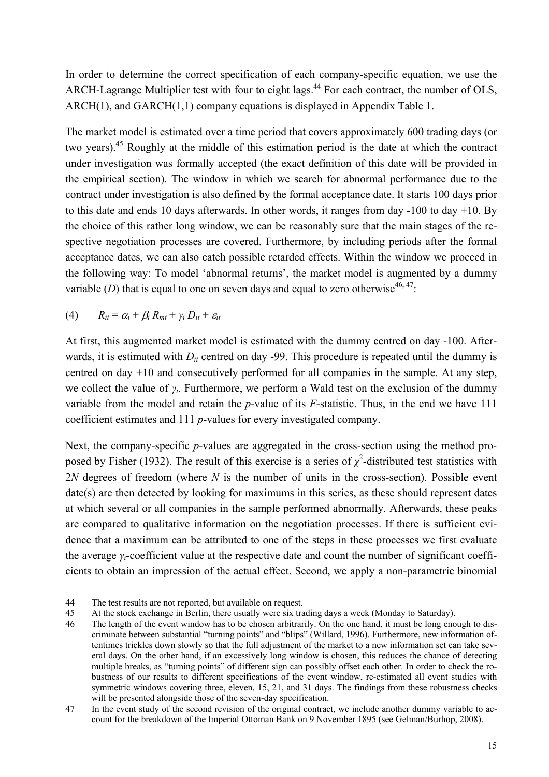In order to determine the correct specification of each company-specific equation, we use the ARCH-Lagrange Multiplier test with four to eight lags.<sup>44</sup> For each contract, the number of OLS, ARCH(1), and GARCH(1,1) company equations is displayed in Appendix Table 1.

The market model is estimated over a time period that covers approximately 600 trading days (or two years).45 Roughly at the middle of this estimation period is the date at which the contract under investigation was formally accepted (the exact definition of this date will be provided in the empirical section). The window in which we search for abnormal performance due to the contract under investigation is also defined by the formal acceptance date. It starts 100 days prior to this date and ends 10 days afterwards. In other words, it ranges from day -100 to day +10. By the choice of this rather long window, we can be reasonably sure that the main stages of the respective negotiation processes are covered. Furthermore, by including periods after the formal acceptance dates, we can also catch possible retarded effects. Within the window we proceed in the following way: To model 'abnormal returns', the market model is augmented by a dummy variable ( $D$ ) that is equal to one on seven days and equal to zero otherwise<sup>46, 47</sup>:

(4) 
$$
R_{it} = \alpha_i + \beta_i R_{mt} + \gamma_i D_{it} + \varepsilon_{it}
$$

At first, this augmented market model is estimated with the dummy centred on day -100. Afterwards, it is estimated with  $D_{it}$  centred on day -99. This procedure is repeated until the dummy is centred on day +10 and consecutively performed for all companies in the sample. At any step, we collect the value of *γi*. Furthermore, we perform a Wald test on the exclusion of the dummy variable from the model and retain the *p*-value of its *F*-statistic. Thus, in the end we have 111 coefficient estimates and 111 *p*-values for every investigated company.

Next, the company-specific *p*-values are aggregated in the cross-section using the method proposed by Fisher (1932). The result of this exercise is a series of  $\chi^2$ -distributed test statistics with 2*N* degrees of freedom (where *N* is the number of units in the cross-section). Possible event date(s) are then detected by looking for maximums in this series, as these should represent dates at which several or all companies in the sample performed abnormally. Afterwards, these peaks are compared to qualitative information on the negotiation processes. If there is sufficient evidence that a maximum can be attributed to one of the steps in these processes we first evaluate the average *γi*-coefficient value at the respective date and count the number of significant coefficients to obtain an impression of the actual effect. Second, we apply a non-parametric binomial

 $\overline{a}$ 44 The test results are not reported, but available on request.

<sup>45</sup> At the stock exchange in Berlin, there usually were six trading days a week (Monday to Saturday).

<sup>46</sup> The length of the event window has to be chosen arbitrarily. On the one hand, it must be long enough to discriminate between substantial "turning points" and "blips" (Willard, 1996). Furthermore, new information oftentimes trickles down slowly so that the full adjustment of the market to a new information set can take several days. On the other hand, if an excessively long window is chosen, this reduces the chance of detecting multiple breaks, as "turning points" of different sign can possibly offset each other. In order to check the robustness of our results to different specifications of the event window, re-estimated all event studies with symmetric windows covering three, eleven, 15, 21, and 31 days. The findings from these robustness checks will be presented alongside those of the seven-day specification.

<sup>47</sup> In the event study of the second revision of the original contract, we include another dummy variable to account for the breakdown of the Imperial Ottoman Bank on 9 November 1895 (see Gelman/Burhop, 2008).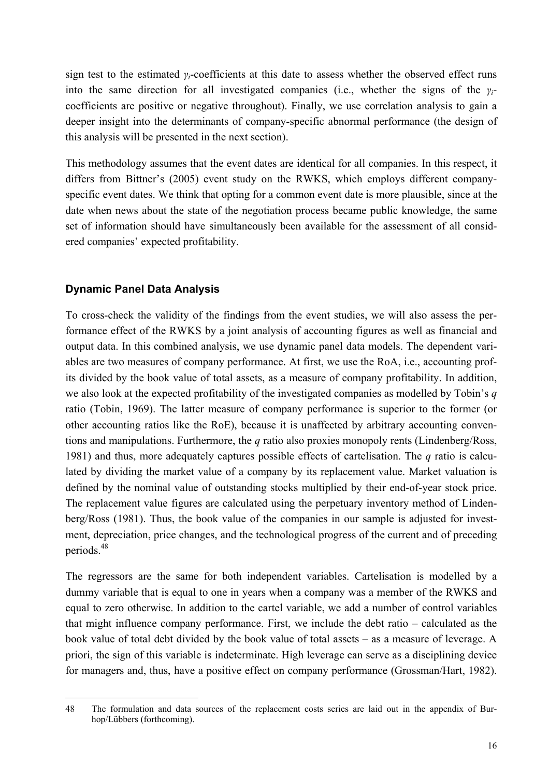sign test to the estimated  $\gamma$ <sup>*i*</sup>-coefficients at this date to assess whether the observed effect runs into the same direction for all investigated companies (i.e., whether the signs of the *γi*coefficients are positive or negative throughout). Finally, we use correlation analysis to gain a deeper insight into the determinants of company-specific abnormal performance (the design of this analysis will be presented in the next section).

This methodology assumes that the event dates are identical for all companies. In this respect, it differs from Bittner's (2005) event study on the RWKS, which employs different companyspecific event dates. We think that opting for a common event date is more plausible, since at the date when news about the state of the negotiation process became public knowledge, the same set of information should have simultaneously been available for the assessment of all considered companies' expected profitability.

### **Dynamic Panel Data Analysis**

 $\overline{a}$ 

To cross-check the validity of the findings from the event studies, we will also assess the performance effect of the RWKS by a joint analysis of accounting figures as well as financial and output data. In this combined analysis, we use dynamic panel data models. The dependent variables are two measures of company performance. At first, we use the RoA, i.e., accounting profits divided by the book value of total assets, as a measure of company profitability. In addition, we also look at the expected profitability of the investigated companies as modelled by Tobin's *q* ratio (Tobin, 1969). The latter measure of company performance is superior to the former (or other accounting ratios like the RoE), because it is unaffected by arbitrary accounting conventions and manipulations. Furthermore, the *q* ratio also proxies monopoly rents (Lindenberg/Ross, 1981) and thus, more adequately captures possible effects of cartelisation. The *q* ratio is calculated by dividing the market value of a company by its replacement value. Market valuation is defined by the nominal value of outstanding stocks multiplied by their end-of-year stock price. The replacement value figures are calculated using the perpetuary inventory method of Lindenberg/Ross (1981). Thus, the book value of the companies in our sample is adjusted for investment, depreciation, price changes, and the technological progress of the current and of preceding periods.48

The regressors are the same for both independent variables. Cartelisation is modelled by a dummy variable that is equal to one in years when a company was a member of the RWKS and equal to zero otherwise. In addition to the cartel variable, we add a number of control variables that might influence company performance. First, we include the debt ratio – calculated as the book value of total debt divided by the book value of total assets – as a measure of leverage. A priori, the sign of this variable is indeterminate. High leverage can serve as a disciplining device for managers and, thus, have a positive effect on company performance (Grossman/Hart, 1982).

<sup>48</sup> The formulation and data sources of the replacement costs series are laid out in the appendix of Burhop/Lübbers (forthcoming).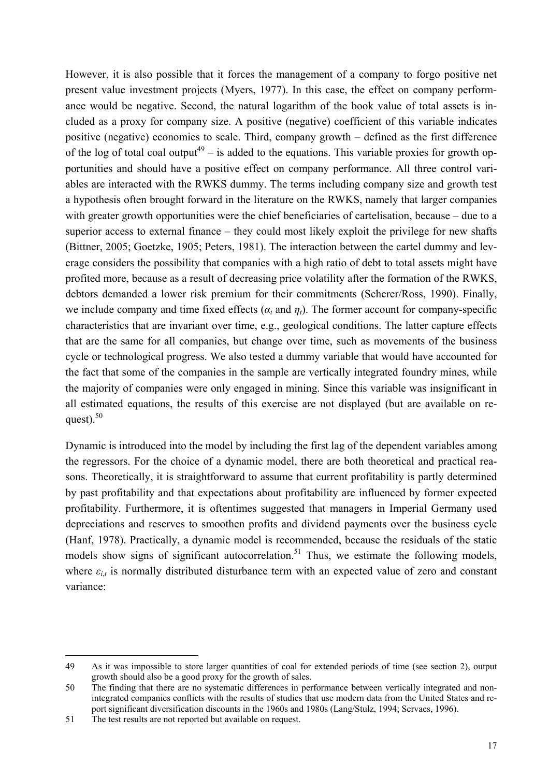However, it is also possible that it forces the management of a company to forgo positive net present value investment projects (Myers, 1977). In this case, the effect on company performance would be negative. Second, the natural logarithm of the book value of total assets is included as a proxy for company size. A positive (negative) coefficient of this variable indicates positive (negative) economies to scale. Third, company growth – defined as the first difference of the log of total coal output<sup>49</sup> – is added to the equations. This variable proxies for growth opportunities and should have a positive effect on company performance. All three control variables are interacted with the RWKS dummy. The terms including company size and growth test a hypothesis often brought forward in the literature on the RWKS, namely that larger companies with greater growth opportunities were the chief beneficiaries of cartelisation, because – due to a superior access to external finance – they could most likely exploit the privilege for new shafts (Bittner, 2005; Goetzke, 1905; Peters, 1981). The interaction between the cartel dummy and leverage considers the possibility that companies with a high ratio of debt to total assets might have profited more, because as a result of decreasing price volatility after the formation of the RWKS, debtors demanded a lower risk premium for their commitments (Scherer/Ross, 1990). Finally, we include company and time fixed effects ( $\alpha_i$  and  $\eta_i$ ). The former account for company-specific characteristics that are invariant over time, e.g., geological conditions. The latter capture effects that are the same for all companies, but change over time, such as movements of the business cycle or technological progress. We also tested a dummy variable that would have accounted for the fact that some of the companies in the sample are vertically integrated foundry mines, while the majority of companies were only engaged in mining. Since this variable was insignificant in all estimated equations, the results of this exercise are not displayed (but are available on request $\binom{50}{50}$ 

Dynamic is introduced into the model by including the first lag of the dependent variables among the regressors. For the choice of a dynamic model, there are both theoretical and practical reasons. Theoretically, it is straightforward to assume that current profitability is partly determined by past profitability and that expectations about profitability are influenced by former expected profitability. Furthermore, it is oftentimes suggested that managers in Imperial Germany used depreciations and reserves to smoothen profits and dividend payments over the business cycle (Hanf, 1978). Practically, a dynamic model is recommended, because the residuals of the static models show signs of significant autocorrelation.<sup>51</sup> Thus, we estimate the following models, where  $\varepsilon_{i,t}$  is normally distributed disturbance term with an expected value of zero and constant variance:

 $\overline{a}$ 

<sup>49</sup> As it was impossible to store larger quantities of coal for extended periods of time (see section 2), output growth should also be a good proxy for the growth of sales.

<sup>50</sup> The finding that there are no systematic differences in performance between vertically integrated and nonintegrated companies conflicts with the results of studies that use modern data from the United States and report significant diversification discounts in the 1960s and 1980s (Lang/Stulz, 1994; Servaes, 1996).

<sup>51</sup> The test results are not reported but available on request.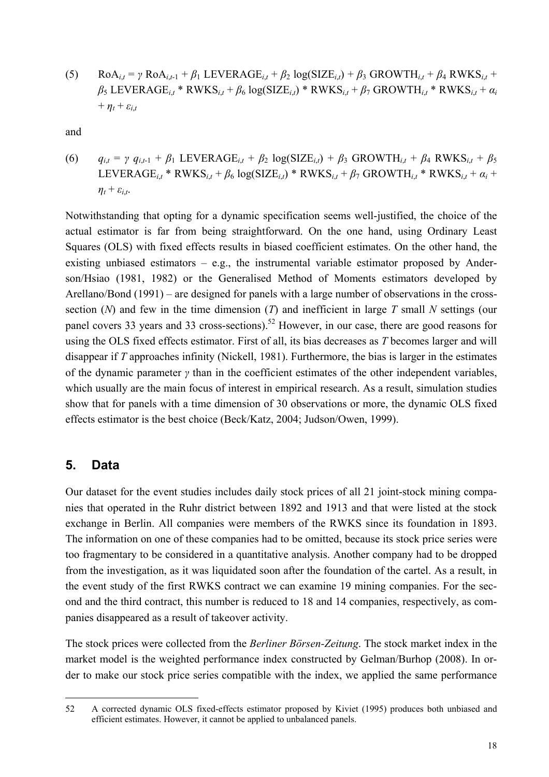(5) RoA<sub>*i*,*t*</sub> =  $\gamma$  RoA<sub>*i*,*t*-1</sub> +  $\beta_1$  LEVERAGE<sub>*i*,*t*</sub> +  $\beta_2$  log(SIZE<sub>*i*,*t*</sub>) +  $\beta_3$  GROWTH<sub>*i*,*t*</sub> +  $\beta_4$  RWKS<sub>*i*,*t*</sub> +  $\beta_5$  LEVERAGE<sub>it</sub></sub> \* RWKS<sub>it</sub> +  $\beta_6$  log(SIZE<sub>it</sub>) \* RWKS<sub>it</sub> +  $\beta_7$  GROWTH<sub>it</sub> \* RWKS<sub>it</sub> +  $\alpha_i$  $+\eta_t + \varepsilon_{i,t}$ 

and

(6)  $q_{i,t} = \gamma q_{i,t-1} + \beta_1$  LEVERAGE<sub>*i*,*t*</sub> +  $\beta_2$  log(SIZE<sub>*i*,*t*</sub>) +  $\beta_3$  GROWTH<sub>*i*,*t*</sub> +  $\beta_4$  RWKS<sub>*i*,*t*</sub> +  $\beta_5$ LEVERAGE<sub>*i*</sub>, $*$ </sub> RWKS<sub>*i*</sub></sub> +  $\beta_6$  log(SIZE<sub>*i*,*t*)</sub> $*$  RWKS<sub>*i*, $t$ </sub> +  $\beta_7$  GROWTH<sub>*i*, $t$ </sub> $*$  RWKS<sub>*i*, $t$ </sub> +  $\alpha_i$  +  $\eta_t + \varepsilon_{i,t}$ .

Notwithstanding that opting for a dynamic specification seems well-justified, the choice of the actual estimator is far from being straightforward. On the one hand, using Ordinary Least Squares (OLS) with fixed effects results in biased coefficient estimates. On the other hand, the existing unbiased estimators – e.g., the instrumental variable estimator proposed by Anderson/Hsiao (1981, 1982) or the Generalised Method of Moments estimators developed by Arellano/Bond (1991) – are designed for panels with a large number of observations in the crosssection (*N*) and few in the time dimension (*T*) and inefficient in large *T* small *N* settings (our panel covers 33 years and 33 cross-sections).<sup>52</sup> However, in our case, there are good reasons for using the OLS fixed effects estimator. First of all, its bias decreases as *T* becomes larger and will disappear if *T* approaches infinity (Nickell, 1981). Furthermore, the bias is larger in the estimates of the dynamic parameter *γ* than in the coefficient estimates of the other independent variables, which usually are the main focus of interest in empirical research. As a result, simulation studies show that for panels with a time dimension of 30 observations or more, the dynamic OLS fixed effects estimator is the best choice (Beck/Katz, 2004; Judson/Owen, 1999).

## **5. Data**

 $\overline{a}$ 

Our dataset for the event studies includes daily stock prices of all 21 joint-stock mining companies that operated in the Ruhr district between 1892 and 1913 and that were listed at the stock exchange in Berlin. All companies were members of the RWKS since its foundation in 1893. The information on one of these companies had to be omitted, because its stock price series were too fragmentary to be considered in a quantitative analysis. Another company had to be dropped from the investigation, as it was liquidated soon after the foundation of the cartel. As a result, in the event study of the first RWKS contract we can examine 19 mining companies. For the second and the third contract, this number is reduced to 18 and 14 companies, respectively, as companies disappeared as a result of takeover activity.

The stock prices were collected from the *Berliner Börsen-Zeitung*. The stock market index in the market model is the weighted performance index constructed by Gelman/Burhop (2008). In order to make our stock price series compatible with the index, we applied the same performance

<sup>52</sup> A corrected dynamic OLS fixed-effects estimator proposed by Kiviet (1995) produces both unbiased and efficient estimates. However, it cannot be applied to unbalanced panels.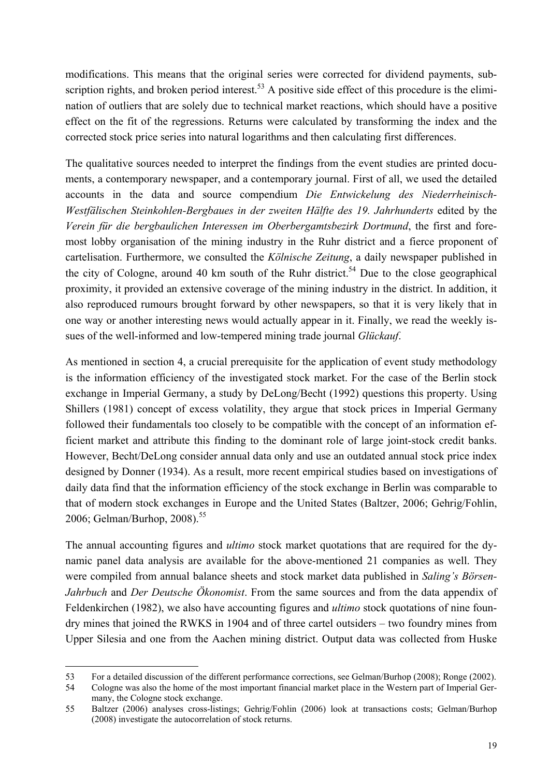modifications. This means that the original series were corrected for dividend payments, subscription rights, and broken period interest.<sup>53</sup> A positive side effect of this procedure is the elimination of outliers that are solely due to technical market reactions, which should have a positive effect on the fit of the regressions. Returns were calculated by transforming the index and the corrected stock price series into natural logarithms and then calculating first differences.

The qualitative sources needed to interpret the findings from the event studies are printed documents, a contemporary newspaper, and a contemporary journal. First of all, we used the detailed accounts in the data and source compendium *Die Entwickelung des Niederrheinisch-Westfälischen Steinkohlen-Bergbaues in der zweiten Hälfte des 19. Jahrhunderts* edited by the *Verein für die bergbaulichen Interessen im Oberbergamtsbezirk Dortmund*, the first and foremost lobby organisation of the mining industry in the Ruhr district and a fierce proponent of cartelisation. Furthermore, we consulted the *Kölnische Zeitung*, a daily newspaper published in the city of Cologne, around 40 km south of the Ruhr district.<sup>54</sup> Due to the close geographical proximity, it provided an extensive coverage of the mining industry in the district. In addition, it also reproduced rumours brought forward by other newspapers, so that it is very likely that in one way or another interesting news would actually appear in it. Finally, we read the weekly issues of the well-informed and low-tempered mining trade journal *Glückauf*.

As mentioned in section 4, a crucial prerequisite for the application of event study methodology is the information efficiency of the investigated stock market. For the case of the Berlin stock exchange in Imperial Germany, a study by DeLong/Becht (1992) questions this property. Using Shillers (1981) concept of excess volatility, they argue that stock prices in Imperial Germany followed their fundamentals too closely to be compatible with the concept of an information efficient market and attribute this finding to the dominant role of large joint-stock credit banks. However, Becht/DeLong consider annual data only and use an outdated annual stock price index designed by Donner (1934). As a result, more recent empirical studies based on investigations of daily data find that the information efficiency of the stock exchange in Berlin was comparable to that of modern stock exchanges in Europe and the United States (Baltzer, 2006; Gehrig/Fohlin, 2006; Gelman/Burhop, 2008).<sup>55</sup>

The annual accounting figures and *ultimo* stock market quotations that are required for the dynamic panel data analysis are available for the above-mentioned 21 companies as well. They were compiled from annual balance sheets and stock market data published in *Saling's Börsen-Jahrbuch* and *Der Deutsche Ökonomist*. From the same sources and from the data appendix of Feldenkirchen (1982), we also have accounting figures and *ultimo* stock quotations of nine foundry mines that joined the RWKS in 1904 and of three cartel outsiders – two foundry mines from Upper Silesia and one from the Aachen mining district. Output data was collected from Huske

 $\overline{a}$ 

<sup>53</sup> For a detailed discussion of the different performance corrections, see Gelman/Burhop (2008); Ronge (2002).

<sup>54</sup> Cologne was also the home of the most important financial market place in the Western part of Imperial Germany, the Cologne stock exchange.

<sup>55</sup> Baltzer (2006) analyses cross-listings; Gehrig/Fohlin (2006) look at transactions costs; Gelman/Burhop (2008) investigate the autocorrelation of stock returns.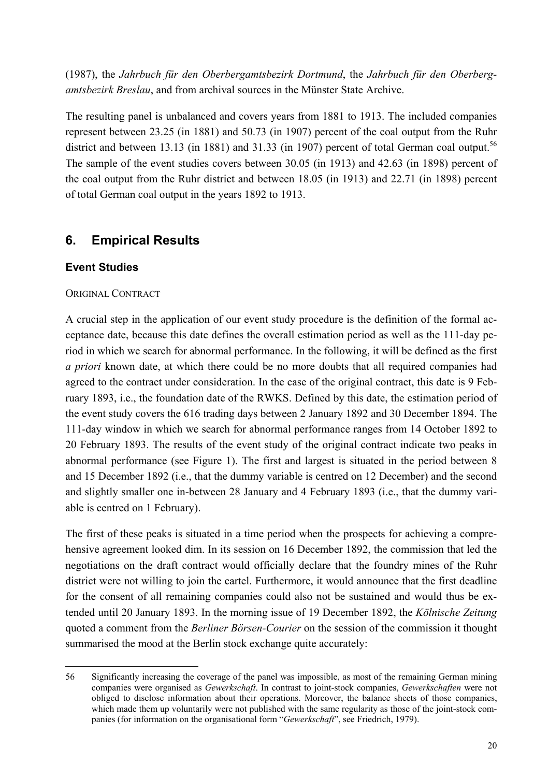(1987), the *Jahrbuch für den Oberbergamtsbezirk Dortmund*, the *Jahrbuch für den Oberbergamtsbezirk Breslau*, and from archival sources in the Münster State Archive.

The resulting panel is unbalanced and covers years from 1881 to 1913. The included companies represent between 23.25 (in 1881) and 50.73 (in 1907) percent of the coal output from the Ruhr district and between 13.13 (in 1881) and 31.33 (in 1907) percent of total German coal output.<sup>56</sup> The sample of the event studies covers between 30.05 (in 1913) and 42.63 (in 1898) percent of the coal output from the Ruhr district and between 18.05 (in 1913) and 22.71 (in 1898) percent of total German coal output in the years 1892 to 1913.

# **6. Empirical Results**

### **Event Studies**

 $\overline{a}$ 

#### ORIGINAL CONTRACT

A crucial step in the application of our event study procedure is the definition of the formal acceptance date, because this date defines the overall estimation period as well as the 111-day period in which we search for abnormal performance. In the following, it will be defined as the first *a priori* known date, at which there could be no more doubts that all required companies had agreed to the contract under consideration. In the case of the original contract, this date is 9 February 1893, i.e., the foundation date of the RWKS. Defined by this date, the estimation period of the event study covers the 616 trading days between 2 January 1892 and 30 December 1894. The 111-day window in which we search for abnormal performance ranges from 14 October 1892 to 20 February 1893. The results of the event study of the original contract indicate two peaks in abnormal performance (see Figure 1). The first and largest is situated in the period between 8 and 15 December 1892 (i.e., that the dummy variable is centred on 12 December) and the second and slightly smaller one in-between 28 January and 4 February 1893 (i.e., that the dummy variable is centred on 1 February).

The first of these peaks is situated in a time period when the prospects for achieving a comprehensive agreement looked dim. In its session on 16 December 1892, the commission that led the negotiations on the draft contract would officially declare that the foundry mines of the Ruhr district were not willing to join the cartel. Furthermore, it would announce that the first deadline for the consent of all remaining companies could also not be sustained and would thus be extended until 20 January 1893. In the morning issue of 19 December 1892, the *Kölnische Zeitung* quoted a comment from the *Berliner Börsen-Courier* on the session of the commission it thought summarised the mood at the Berlin stock exchange quite accurately:

<sup>56</sup> Significantly increasing the coverage of the panel was impossible, as most of the remaining German mining companies were organised as *Gewerkschaft*. In contrast to joint-stock companies, *Gewerkschaften* were not obliged to disclose information about their operations. Moreover, the balance sheets of those companies, which made them up voluntarily were not published with the same regularity as those of the joint-stock companies (for information on the organisational form "*Gewerkschaft*", see Friedrich, 1979).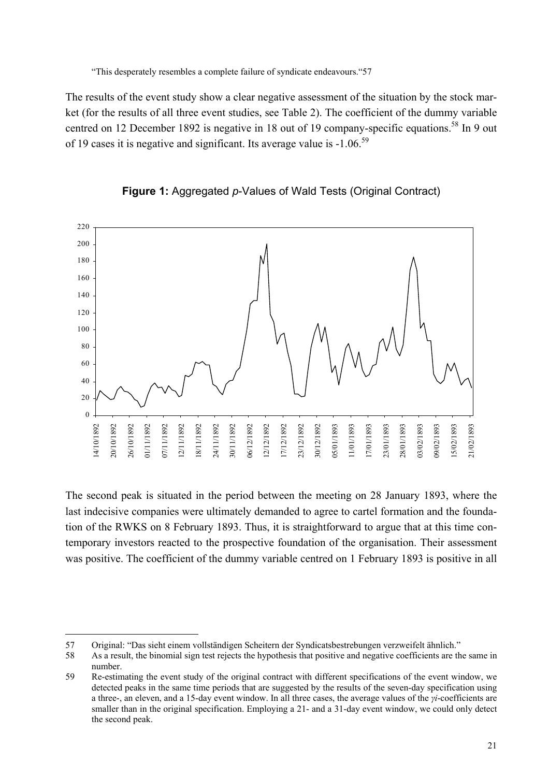"This desperately resembles a complete failure of syndicate endeavours."57

The results of the event study show a clear negative assessment of the situation by the stock market (for the results of all three event studies, see Table 2). The coefficient of the dummy variable centred on 12 December 1892 is negative in 18 out of 19 company-specific equations.<sup>58</sup> In 9 out of 19 cases it is negative and significant. Its average value is -1.06.<sup>59</sup>





The second peak is situated in the period between the meeting on 28 January 1893, where the last indecisive companies were ultimately demanded to agree to cartel formation and the foundation of the RWKS on 8 February 1893. Thus, it is straightforward to argue that at this time contemporary investors reacted to the prospective foundation of the organisation. Their assessment was positive. The coefficient of the dummy variable centred on 1 February 1893 is positive in all

j

<sup>57</sup> Original: "Das sieht einem vollständigen Scheitern der Syndicatsbestrebungen verzweifelt ähnlich."

<sup>58</sup> As a result, the binomial sign test rejects the hypothesis that positive and negative coefficients are the same in number.

<sup>59</sup> Re-estimating the event study of the original contract with different specifications of the event window, we detected peaks in the same time periods that are suggested by the results of the seven-day specification using a three-, an eleven, and a 15-day event window. In all three cases, the average values of the *γi*-coefficients are smaller than in the original specification. Employing a 21- and a 31-day event window, we could only detect the second peak.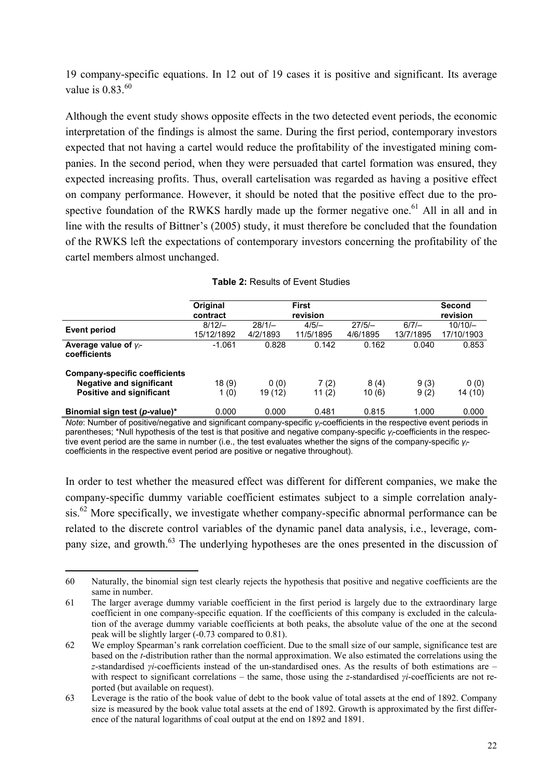19 company-specific equations. In 12 out of 19 cases it is positive and significant. Its average value is 0.83 $60$ 

Although the event study shows opposite effects in the two detected event periods, the economic interpretation of the findings is almost the same. During the first period, contemporary investors expected that not having a cartel would reduce the profitability of the investigated mining companies. In the second period, when they were persuaded that cartel formation was ensured, they expected increasing profits. Thus, overall cartelisation was regarded as having a positive effect on company performance. However, it should be noted that the positive effect due to the prospective foundation of the RWKS hardly made up the former negative one.<sup>61</sup> All in all and in line with the results of Bittner's (2005) study, it must therefore be concluded that the foundation of the RWKS left the expectations of contemporary investors concerning the profitability of the cartel members almost unchanged.

|                                                                    | Original<br>contract |                 | <b>First</b><br>revision |               |              | <b>Second</b><br>revision |
|--------------------------------------------------------------------|----------------------|-----------------|--------------------------|---------------|--------------|---------------------------|
| Event period                                                       | $8/12/-$             | 28/1/           | $4/5/-$                  | 27/5/         | $6/7/-$      | $10/10/-$                 |
|                                                                    | 15/12/1892           | 4/2/1893        | 11/5/1895                | 4/6/1895      | 13/7/1895    | 17/10/1903                |
| Average value of $V_{\Gamma}$<br>coefficients                      | $-1.061$             | 0.828           | 0.142                    | 0.162         | 0.040        | 0.853                     |
| <b>Company-specific coefficients</b>                               |                      |                 |                          |               |              |                           |
| <b>Negative and significant</b><br><b>Positive and significant</b> | 18(9)<br>1 (0)       | 0(0)<br>19 (12) | 7(2)<br>11 $(2)$         | 8(4)<br>10(6) | 9(3)<br>9(2) | 0(0)<br>14 (10)           |
| Binomial sign test (p-value)*                                      | 0.000                | 0.000           | 0.481                    | 0.815         | 1.000        | 0.000                     |

#### **Table 2:** Results of Event Studies

*Note*: Number of positive/negative and significant company-specific *γi*-coefficients in the respective event periods in parentheses; \*Null hypothesis of the test is that positive and negative company-specific *γi*-coefficients in the respective event period are the same in number (i.e., the test evaluates whether the signs of the company-specific *γi*coefficients in the respective event period are positive or negative throughout).

In order to test whether the measured effect was different for different companies, we make the company-specific dummy variable coefficient estimates subject to a simple correlation analysis.<sup>62</sup> More specifically, we investigate whether company-specific abnormal performance can be related to the discrete control variables of the dynamic panel data analysis, i.e., leverage, company size, and growth.<sup>63</sup> The underlying hypotheses are the ones presented in the discussion of

j

<sup>60</sup> Naturally, the binomial sign test clearly rejects the hypothesis that positive and negative coefficients are the same in number.

<sup>61</sup> The larger average dummy variable coefficient in the first period is largely due to the extraordinary large coefficient in one company-specific equation. If the coefficients of this company is excluded in the calculation of the average dummy variable coefficients at both peaks, the absolute value of the one at the second peak will be slightly larger (-0.73 compared to 0.81).

<sup>62</sup> We employ Spearman's rank correlation coefficient. Due to the small size of our sample, significance test are based on the *t*-distribution rather than the normal approximation. We also estimated the correlations using the *z*-standardised *γi*-coefficients instead of the un-standardised ones. As the results of both estimations are – with respect to significant correlations – the same, those using the *z*-standardised *γi*-coefficients are not reported (but available on request).

<sup>63</sup> Leverage is the ratio of the book value of debt to the book value of total assets at the end of 1892. Company size is measured by the book value total assets at the end of 1892. Growth is approximated by the first difference of the natural logarithms of coal output at the end on 1892 and 1891.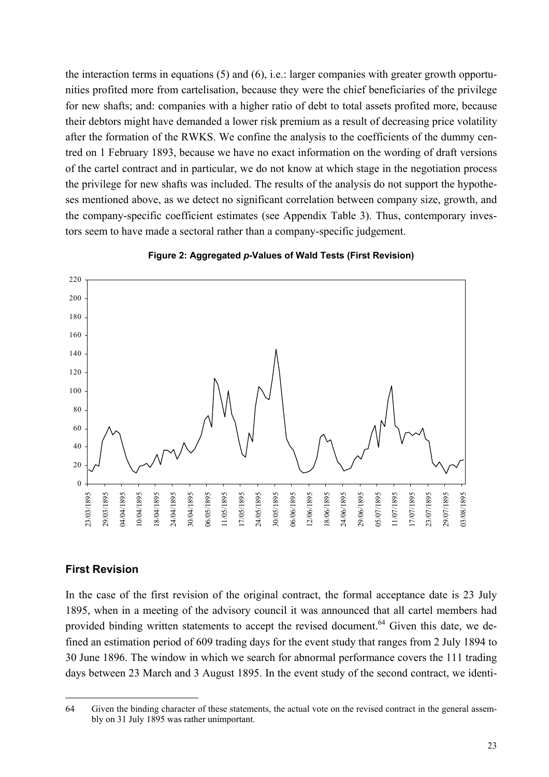the interaction terms in equations (5) and (6), i.e.: larger companies with greater growth opportunities profited more from cartelisation, because they were the chief beneficiaries of the privilege for new shafts; and: companies with a higher ratio of debt to total assets profited more, because their debtors might have demanded a lower risk premium as a result of decreasing price volatility after the formation of the RWKS. We confine the analysis to the coefficients of the dummy centred on 1 February 1893, because we have no exact information on the wording of draft versions of the cartel contract and in particular, we do not know at which stage in the negotiation process the privilege for new shafts was included. The results of the analysis do not support the hypotheses mentioned above, as we detect no significant correlation between company size, growth, and the company-specific coefficient estimates (see Appendix Table 3). Thus, contemporary investors seem to have made a sectoral rather than a company-specific judgement.





#### **First Revision**

 $\overline{a}$ 

In the case of the first revision of the original contract, the formal acceptance date is 23 July 1895, when in a meeting of the advisory council it was announced that all cartel members had provided binding written statements to accept the revised document.<sup>64</sup> Given this date, we defined an estimation period of 609 trading days for the event study that ranges from 2 July 1894 to 30 June 1896. The window in which we search for abnormal performance covers the 111 trading days between 23 March and 3 August 1895. In the event study of the second contract, we identi-

<sup>64</sup> Given the binding character of these statements, the actual vote on the revised contract in the general assembly on 31 July 1895 was rather unimportant.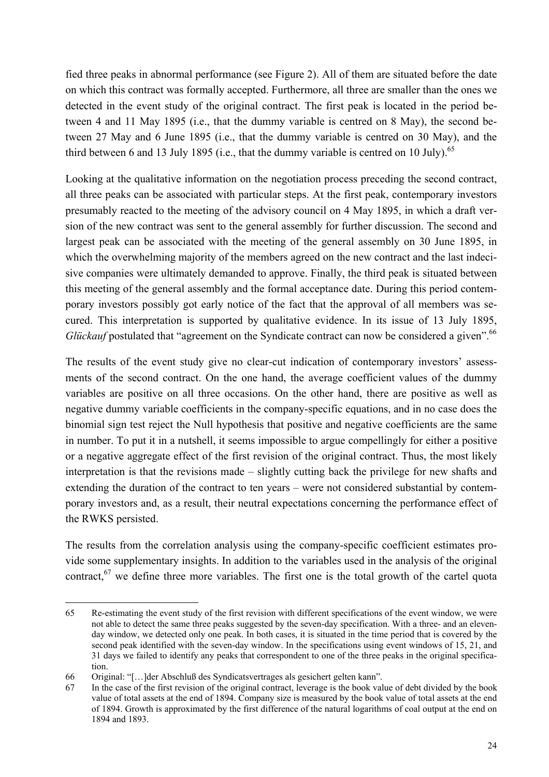fied three peaks in abnormal performance (see Figure 2). All of them are situated before the date on which this contract was formally accepted. Furthermore, all three are smaller than the ones we detected in the event study of the original contract. The first peak is located in the period between 4 and 11 May 1895 (i.e., that the dummy variable is centred on 8 May), the second between 27 May and 6 June 1895 (i.e., that the dummy variable is centred on 30 May), and the third between 6 and 13 July 1895 (i.e., that the dummy variable is centred on 10 July).<sup>65</sup>

Looking at the qualitative information on the negotiation process preceding the second contract, all three peaks can be associated with particular steps. At the first peak, contemporary investors presumably reacted to the meeting of the advisory council on 4 May 1895, in which a draft version of the new contract was sent to the general assembly for further discussion. The second and largest peak can be associated with the meeting of the general assembly on 30 June 1895, in which the overwhelming majority of the members agreed on the new contract and the last indecisive companies were ultimately demanded to approve. Finally, the third peak is situated between this meeting of the general assembly and the formal acceptance date. During this period contemporary investors possibly got early notice of the fact that the approval of all members was secured. This interpretation is supported by qualitative evidence. In its issue of 13 July 1895, *Glückauf* postulated that "agreement on the Syndicate contract can now be considered a given".<sup>66</sup>

The results of the event study give no clear-cut indication of contemporary investors' assessments of the second contract. On the one hand, the average coefficient values of the dummy variables are positive on all three occasions. On the other hand, there are positive as well as negative dummy variable coefficients in the company-specific equations, and in no case does the binomial sign test reject the Null hypothesis that positive and negative coefficients are the same in number. To put it in a nutshell, it seems impossible to argue compellingly for either a positive or a negative aggregate effect of the first revision of the original contract. Thus, the most likely interpretation is that the revisions made – slightly cutting back the privilege for new shafts and extending the duration of the contract to ten years – were not considered substantial by contemporary investors and, as a result, their neutral expectations concerning the performance effect of the RWKS persisted.

The results from the correlation analysis using the company-specific coefficient estimates provide some supplementary insights. In addition to the variables used in the analysis of the original contract. $67$  we define three more variables. The first one is the total growth of the cartel quota

j

<sup>65</sup> Re-estimating the event study of the first revision with different specifications of the event window, we were not able to detect the same three peaks suggested by the seven-day specification. With a three- and an elevenday window, we detected only one peak. In both cases, it is situated in the time period that is covered by the second peak identified with the seven-day window. In the specifications using event windows of 15, 21, and 31 days we failed to identify any peaks that correspondent to one of the three peaks in the original specification.

<sup>66</sup> Original: "[…]der Abschluß des Syndicatsvertrages als gesichert gelten kann".

<sup>67</sup> In the case of the first revision of the original contract, leverage is the book value of debt divided by the book value of total assets at the end of 1894. Company size is measured by the book value of total assets at the end of 1894. Growth is approximated by the first difference of the natural logarithms of coal output at the end on 1894 and 1893.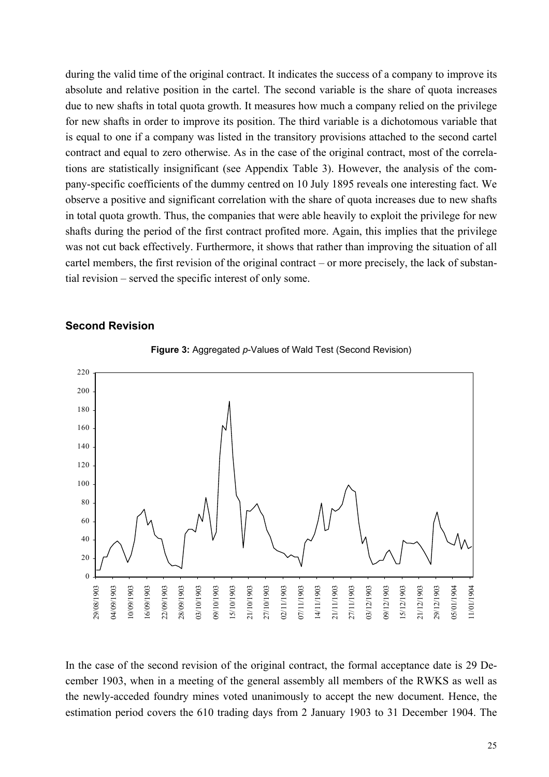during the valid time of the original contract. It indicates the success of a company to improve its absolute and relative position in the cartel. The second variable is the share of quota increases due to new shafts in total quota growth. It measures how much a company relied on the privilege for new shafts in order to improve its position. The third variable is a dichotomous variable that is equal to one if a company was listed in the transitory provisions attached to the second cartel contract and equal to zero otherwise. As in the case of the original contract, most of the correlations are statistically insignificant (see Appendix Table 3). However, the analysis of the company-specific coefficients of the dummy centred on 10 July 1895 reveals one interesting fact. We observe a positive and significant correlation with the share of quota increases due to new shafts in total quota growth. Thus, the companies that were able heavily to exploit the privilege for new shafts during the period of the first contract profited more. Again, this implies that the privilege was not cut back effectively. Furthermore, it shows that rather than improving the situation of all cartel members, the first revision of the original contract – or more precisely, the lack of substantial revision – served the specific interest of only some.

#### **Second Revision**





In the case of the second revision of the original contract, the formal acceptance date is 29 December 1903, when in a meeting of the general assembly all members of the RWKS as well as the newly-acceded foundry mines voted unanimously to accept the new document. Hence, the estimation period covers the 610 trading days from 2 January 1903 to 31 December 1904. The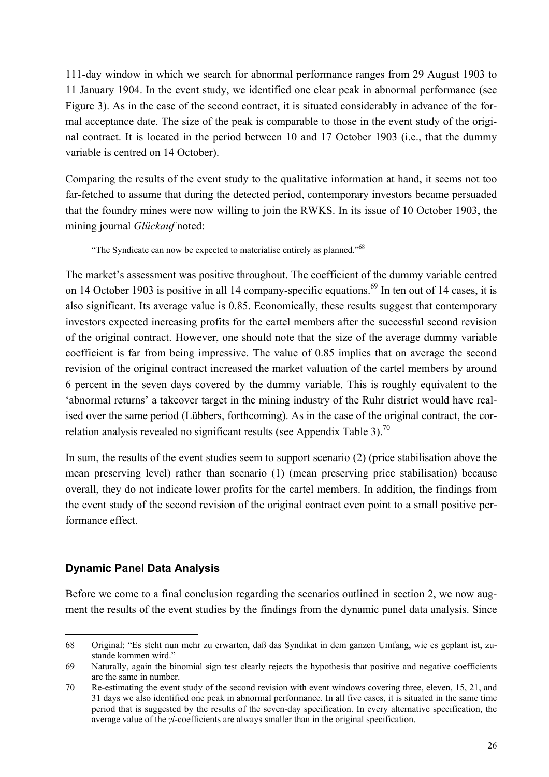111-day window in which we search for abnormal performance ranges from 29 August 1903 to 11 January 1904. In the event study, we identified one clear peak in abnormal performance (see Figure 3). As in the case of the second contract, it is situated considerably in advance of the formal acceptance date. The size of the peak is comparable to those in the event study of the original contract. It is located in the period between 10 and 17 October 1903 (i.e., that the dummy variable is centred on 14 October).

Comparing the results of the event study to the qualitative information at hand, it seems not too far-fetched to assume that during the detected period, contemporary investors became persuaded that the foundry mines were now willing to join the RWKS. In its issue of 10 October 1903, the mining journal *Glückauf* noted:

"The Syndicate can now be expected to materialise entirely as planned."68

The market's assessment was positive throughout. The coefficient of the dummy variable centred on 14 October 1903 is positive in all 14 company-specific equations.<sup>69</sup> In ten out of 14 cases, it is also significant. Its average value is 0.85. Economically, these results suggest that contemporary investors expected increasing profits for the cartel members after the successful second revision of the original contract. However, one should note that the size of the average dummy variable coefficient is far from being impressive. The value of 0.85 implies that on average the second revision of the original contract increased the market valuation of the cartel members by around 6 percent in the seven days covered by the dummy variable. This is roughly equivalent to the 'abnormal returns' a takeover target in the mining industry of the Ruhr district would have realised over the same period (Lübbers, forthcoming). As in the case of the original contract, the correlation analysis revealed no significant results (see Appendix Table 3).<sup>70</sup>

In sum, the results of the event studies seem to support scenario (2) (price stabilisation above the mean preserving level) rather than scenario (1) (mean preserving price stabilisation) because overall, they do not indicate lower profits for the cartel members. In addition, the findings from the event study of the second revision of the original contract even point to a small positive performance effect.

## **Dynamic Panel Data Analysis**

j

Before we come to a final conclusion regarding the scenarios outlined in section 2, we now augment the results of the event studies by the findings from the dynamic panel data analysis. Since

<sup>68</sup> Original: "Es steht nun mehr zu erwarten, daß das Syndikat in dem ganzen Umfang, wie es geplant ist, zustande kommen wird."

<sup>69</sup> Naturally, again the binomial sign test clearly rejects the hypothesis that positive and negative coefficients are the same in number.

<sup>70</sup> Re-estimating the event study of the second revision with event windows covering three, eleven, 15, 21, and 31 days we also identified one peak in abnormal performance. In all five cases, it is situated in the same time period that is suggested by the results of the seven-day specification. In every alternative specification, the average value of the *γi*-coefficients are always smaller than in the original specification.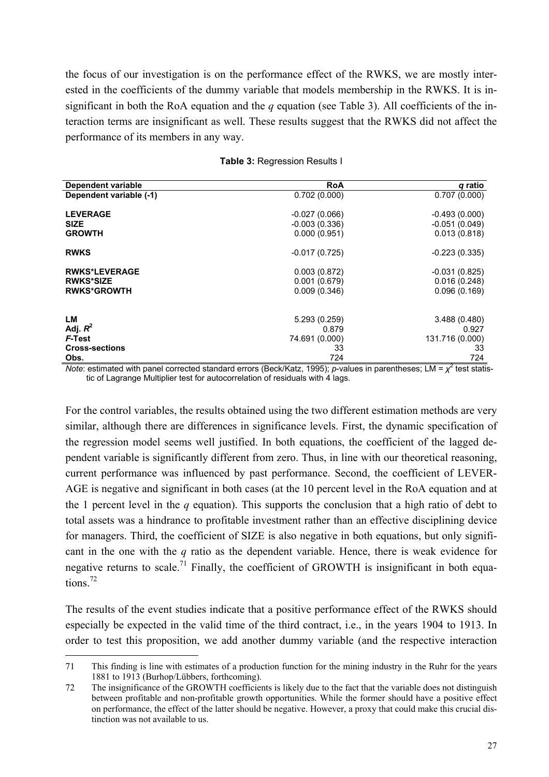the focus of our investigation is on the performance effect of the RWKS, we are mostly interested in the coefficients of the dummy variable that models membership in the RWKS. It is insignificant in both the RoA equation and the  $q$  equation (see Table 3). All coefficients of the interaction terms are insignificant as well. These results suggest that the RWKS did not affect the performance of its members in any way.

| <b>Dependent variable</b> | <b>RoA</b>      | q ratio         |
|---------------------------|-----------------|-----------------|
| Dependent variable (-1)   | 0.702(0.000)    | 0.707(0.000)    |
|                           |                 |                 |
| <b>LEVERAGE</b>           | $-0.027(0.066)$ | $-0.493(0.000)$ |
| <b>SIZE</b>               | $-0.003(0.336)$ | $-0.051(0.049)$ |
| <b>GROWTH</b>             | 0.000(0.951)    | 0.013(0.818)    |
| <b>RWKS</b>               | $-0.017(0.725)$ | $-0.223(0.335)$ |
| <b>RWKS*LEVERAGE</b>      | 0.003(0.872)    | $-0.031(0.825)$ |
| <b>RWKS*SIZE</b>          | 0.001(0.679)    | 0.016(0.248)    |
| <b>RWKS*GROWTH</b>        | 0.009(0.346)    | 0.096(0.169)    |
|                           |                 |                 |
| LM                        | 5.293 (0.259)   | 3.488 (0.480)   |
| Adj. $R^2$                | 0.879           | 0.927           |
| <b>F-Test</b>             | 74.691 (0.000)  | 131.716 (0.000) |
| <b>Cross-sections</b>     | 33              | 33              |
| Obs.                      | 724             | 724             |

|  | <b>Table 3: Regression Results I</b> |  |
|--|--------------------------------------|--|
|--|--------------------------------------|--|

*Note*: estimated with panel corrected standard errors (Beck/Katz, 1995); *p*-values in parentheses; LM = *χ*<sup>2</sup> test statistic of Lagrange Multiplier test for autocorrelation of residuals with 4 lags.

For the control variables, the results obtained using the two different estimation methods are very similar, although there are differences in significance levels. First, the dynamic specification of the regression model seems well justified. In both equations, the coefficient of the lagged dependent variable is significantly different from zero. Thus, in line with our theoretical reasoning, current performance was influenced by past performance. Second, the coefficient of LEVER-AGE is negative and significant in both cases (at the 10 percent level in the RoA equation and at the 1 percent level in the *q* equation). This supports the conclusion that a high ratio of debt to total assets was a hindrance to profitable investment rather than an effective disciplining device for managers. Third, the coefficient of SIZE is also negative in both equations, but only significant in the one with the *q* ratio as the dependent variable. Hence, there is weak evidence for negative returns to scale.<sup>71</sup> Finally, the coefficient of GROWTH is insignificant in both equations $^{72}$ 

The results of the event studies indicate that a positive performance effect of the RWKS should especially be expected in the valid time of the third contract, i.e., in the years 1904 to 1913. In order to test this proposition, we add another dummy variable (and the respective interaction

 $\overline{a}$ 

<sup>71</sup> This finding is line with estimates of a production function for the mining industry in the Ruhr for the years 1881 to 1913 (Burhop/Lübbers, forthcoming).

<sup>72</sup> The insignificance of the GROWTH coefficients is likely due to the fact that the variable does not distinguish between profitable and non-profitable growth opportunities. While the former should have a positive effect on performance, the effect of the latter should be negative. However, a proxy that could make this crucial distinction was not available to us.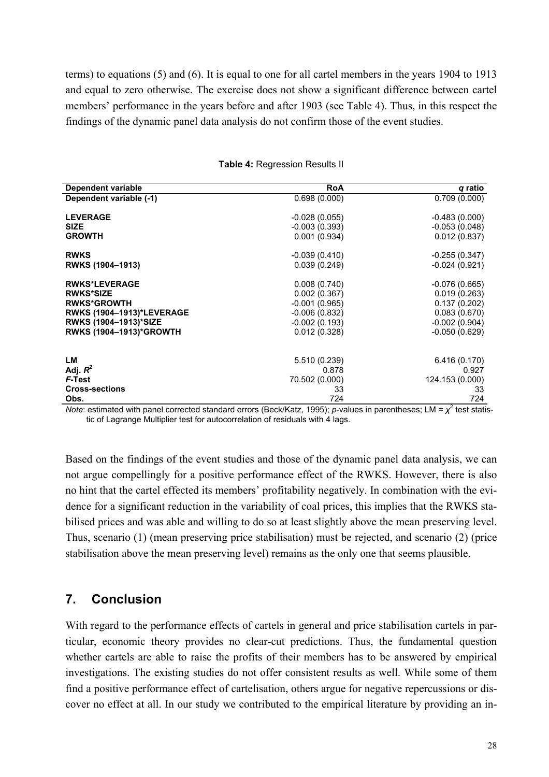terms) to equations (5) and (6). It is equal to one for all cartel members in the years 1904 to 1913 and equal to zero otherwise. The exercise does not show a significant difference between cartel members' performance in the years before and after 1903 (see Table 4). Thus, in this respect the findings of the dynamic panel data analysis do not confirm those of the event studies.

| <b>Dependent variable</b> | <b>RoA</b>      | q ratio                    |
|---------------------------|-----------------|----------------------------|
| Dependent variable (-1)   | 0.698(0.000)    | $\overline{0.709}$ (0.000) |
|                           |                 |                            |
| <b>LEVERAGE</b>           | $-0.028(0.055)$ | $-0.483(0.000)$            |
| <b>SIZE</b>               | $-0.003(0.393)$ | $-0.053(0.048)$            |
| <b>GROWTH</b>             | 0.001(0.934)    | 0.012(0.837)               |
| <b>RWKS</b>               | $-0.039(0.410)$ | $-0.255(0.347)$            |
|                           |                 |                            |
| RWKS (1904–1913)          | 0.039(0.249)    | $-0.024(0.921)$            |
| <b>RWKS*LEVERAGE</b>      | 0.008(0.740)    | $-0.076(0.665)$            |
| <b>RWKS*SIZE</b>          | 0.002(0.367)    | 0.019(0.263)               |
| <b>RWKS*GROWTH</b>        | $-0.001(0.965)$ | 0.137(0.202)               |
| RWKS (1904-1913)*LEVERAGE | $-0.006(0.832)$ | 0.083(0.670)               |
| RWKS (1904-1913)*SIZE     | $-0.002(0.193)$ | $-0.002(0.904)$            |
| RWKS (1904-1913)*GROWTH   | 0.012(0.328)    | $-0.050(0.629)$            |
|                           |                 |                            |
| LM                        | 5.510 (0.239)   | 6.416 (0.170)              |
| Adj. $R^2$                | 0.878           | 0.927                      |
| <b>F-Test</b>             | 70.502 (0.000)  | 124.153 (0.000)            |
| <b>Cross-sections</b>     | 33              | 33                         |
| Obs.                      | 724             | 724<br>$2 + 1 + 1$         |

|  | Table 4: Regression Results II |  |
|--|--------------------------------|--|
|--|--------------------------------|--|

*Note*: estimated with panel corrected standard errors (Beck/Katz, 1995); *p*-values in parentheses; LM = *χ*<sup>2</sup> test statistic of Lagrange Multiplier test for autocorrelation of residuals with 4 lags.

Based on the findings of the event studies and those of the dynamic panel data analysis, we can not argue compellingly for a positive performance effect of the RWKS. However, there is also no hint that the cartel effected its members' profitability negatively. In combination with the evidence for a significant reduction in the variability of coal prices, this implies that the RWKS stabilised prices and was able and willing to do so at least slightly above the mean preserving level. Thus, scenario (1) (mean preserving price stabilisation) must be rejected, and scenario (2) (price stabilisation above the mean preserving level) remains as the only one that seems plausible.

# **7. Conclusion**

With regard to the performance effects of cartels in general and price stabilisation cartels in particular, economic theory provides no clear-cut predictions. Thus, the fundamental question whether cartels are able to raise the profits of their members has to be answered by empirical investigations. The existing studies do not offer consistent results as well. While some of them find a positive performance effect of cartelisation, others argue for negative repercussions or discover no effect at all. In our study we contributed to the empirical literature by providing an in-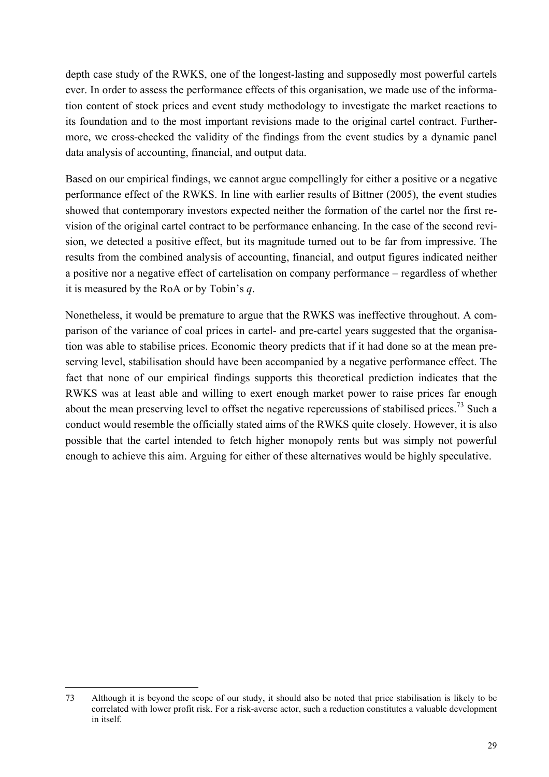depth case study of the RWKS, one of the longest-lasting and supposedly most powerful cartels ever. In order to assess the performance effects of this organisation, we made use of the information content of stock prices and event study methodology to investigate the market reactions to its foundation and to the most important revisions made to the original cartel contract. Furthermore, we cross-checked the validity of the findings from the event studies by a dynamic panel data analysis of accounting, financial, and output data.

Based on our empirical findings, we cannot argue compellingly for either a positive or a negative performance effect of the RWKS. In line with earlier results of Bittner (2005), the event studies showed that contemporary investors expected neither the formation of the cartel nor the first revision of the original cartel contract to be performance enhancing. In the case of the second revision, we detected a positive effect, but its magnitude turned out to be far from impressive. The results from the combined analysis of accounting, financial, and output figures indicated neither a positive nor a negative effect of cartelisation on company performance – regardless of whether it is measured by the RoA or by Tobin's *q*.

Nonetheless, it would be premature to argue that the RWKS was ineffective throughout. A comparison of the variance of coal prices in cartel- and pre-cartel years suggested that the organisation was able to stabilise prices. Economic theory predicts that if it had done so at the mean preserving level, stabilisation should have been accompanied by a negative performance effect. The fact that none of our empirical findings supports this theoretical prediction indicates that the RWKS was at least able and willing to exert enough market power to raise prices far enough about the mean preserving level to offset the negative repercussions of stabilised prices.<sup>73</sup> Such a conduct would resemble the officially stated aims of the RWKS quite closely. However, it is also possible that the cartel intended to fetch higher monopoly rents but was simply not powerful enough to achieve this aim. Arguing for either of these alternatives would be highly speculative.

<sup>-</sup>73 Although it is beyond the scope of our study, it should also be noted that price stabilisation is likely to be correlated with lower profit risk. For a risk-averse actor, such a reduction constitutes a valuable development in itself.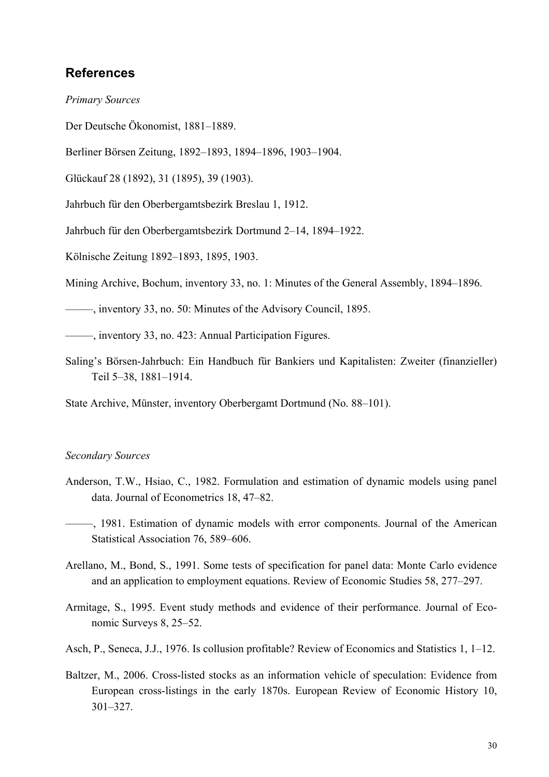### **References**

*Primary Sources* 

- Der Deutsche Ökonomist, 1881–1889.
- Berliner Börsen Zeitung, 1892–1893, 1894–1896, 1903–1904.
- Glückauf 28 (1892), 31 (1895), 39 (1903).
- Jahrbuch für den Oberbergamtsbezirk Breslau 1, 1912.
- Jahrbuch für den Oberbergamtsbezirk Dortmund 2–14, 1894–1922.

Kölnische Zeitung 1892–1893, 1895, 1903.

Mining Archive, Bochum, inventory 33, no. 1: Minutes of the General Assembly, 1894–1896.

–––––, inventory 33, no. 50: Minutes of the Advisory Council, 1895.

- –––––, inventory 33, no. 423: Annual Participation Figures.
- Saling's Börsen-Jahrbuch: Ein Handbuch für Bankiers und Kapitalisten: Zweiter (finanzieller) Teil 5–38, 1881–1914.
- State Archive, Münster, inventory Oberbergamt Dortmund (No. 88–101).

#### *Secondary Sources*

- Anderson, T.W., Hsiao, C., 1982. Formulation and estimation of dynamic models using panel data. Journal of Econometrics 18, 47–82.
- –––––, 1981. Estimation of dynamic models with error components. Journal of the American Statistical Association 76, 589–606.
- Arellano, M., Bond, S., 1991. Some tests of specification for panel data: Monte Carlo evidence and an application to employment equations. Review of Economic Studies 58, 277–297.
- Armitage, S., 1995. Event study methods and evidence of their performance. Journal of Economic Surveys 8, 25–52.
- Asch, P., Seneca, J.J., 1976. Is collusion profitable? Review of Economics and Statistics 1, 1–12.
- Baltzer, M., 2006. Cross-listed stocks as an information vehicle of speculation: Evidence from European cross-listings in the early 1870s. European Review of Economic History 10, 301–327.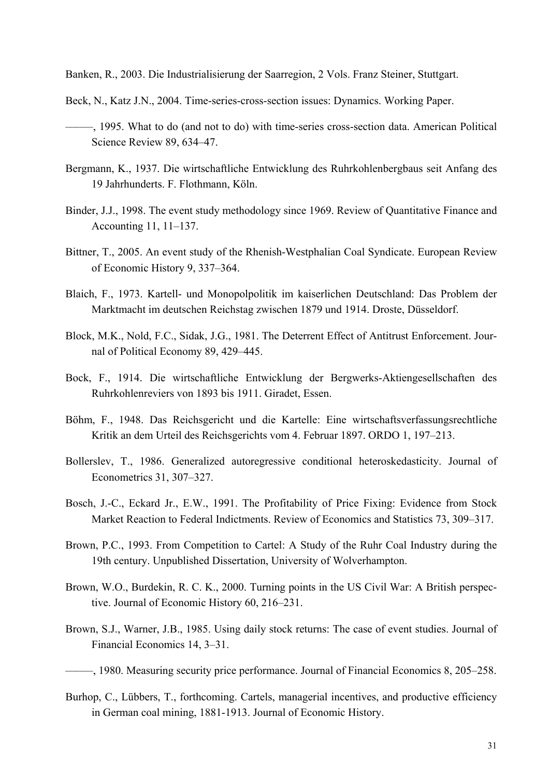Banken, R., 2003. Die Industrialisierung der Saarregion, 2 Vols. Franz Steiner, Stuttgart.

- Beck, N., Katz J.N., 2004. Time-series-cross-section issues: Dynamics. Working Paper.
- –––––, 1995. What to do (and not to do) with time-series cross-section data. American Political Science Review 89, 634–47.
- Bergmann, K., 1937. Die wirtschaftliche Entwicklung des Ruhrkohlenbergbaus seit Anfang des 19 Jahrhunderts. F. Flothmann, Köln.
- Binder, J.J., 1998. The event study methodology since 1969. Review of Quantitative Finance and Accounting 11, 11–137.
- Bittner, T., 2005. An event study of the Rhenish-Westphalian Coal Syndicate. European Review of Economic History 9, 337–364.
- Blaich, F., 1973. Kartell- und Monopolpolitik im kaiserlichen Deutschland: Das Problem der Marktmacht im deutschen Reichstag zwischen 1879 und 1914. Droste, Düsseldorf.
- Block, M.K., Nold, F.C., Sidak, J.G., 1981. The Deterrent Effect of Antitrust Enforcement. Journal of Political Economy 89, 429–445.
- Bock, F., 1914. Die wirtschaftliche Entwicklung der Bergwerks-Aktiengesellschaften des Ruhrkohlenreviers von 1893 bis 1911. Giradet, Essen.
- Böhm, F., 1948. Das Reichsgericht und die Kartelle: Eine wirtschaftsverfassungsrechtliche Kritik an dem Urteil des Reichsgerichts vom 4. Februar 1897. ORDO 1, 197–213.
- Bollerslev, T., 1986. Generalized autoregressive conditional heteroskedasticity. Journal of Econometrics 31, 307–327.
- Bosch, J.-C., Eckard Jr., E.W., 1991. The Profitability of Price Fixing: Evidence from Stock Market Reaction to Federal Indictments. Review of Economics and Statistics 73, 309–317.
- Brown, P.C., 1993. From Competition to Cartel: A Study of the Ruhr Coal Industry during the 19th century. Unpublished Dissertation, University of Wolverhampton.
- Brown, W.O., Burdekin, R. C. K., 2000. Turning points in the US Civil War: A British perspective. Journal of Economic History 60, 216–231.
- Brown, S.J., Warner, J.B., 1985. Using daily stock returns: The case of event studies. Journal of Financial Economics 14, 3–31.
- –––––, 1980. Measuring security price performance. Journal of Financial Economics 8, 205–258.
- Burhop, C., Lübbers, T., forthcoming. Cartels, managerial incentives, and productive efficiency in German coal mining, 1881-1913. Journal of Economic History.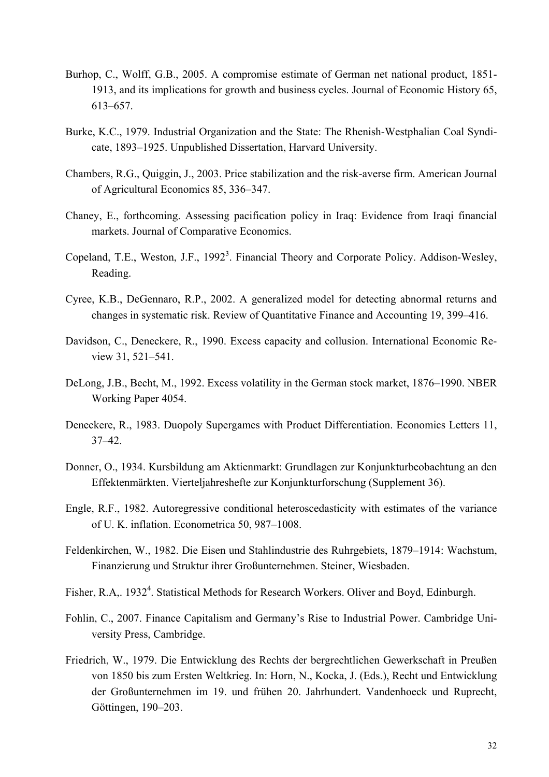- Burhop, C., Wolff, G.B., 2005. A compromise estimate of German net national product, 1851- 1913, and its implications for growth and business cycles. Journal of Economic History 65, 613–657.
- Burke, K.C., 1979. Industrial Organization and the State: The Rhenish-Westphalian Coal Syndicate, 1893–1925. Unpublished Dissertation, Harvard University.
- Chambers, R.G., Quiggin, J., 2003. Price stabilization and the risk-averse firm. American Journal of Agricultural Economics 85, 336–347.
- Chaney, E., forthcoming. Assessing pacification policy in Iraq: Evidence from Iraqi financial markets. Journal of Comparative Economics.
- Copeland, T.E., Weston, J.F., 1992<sup>3</sup>. Financial Theory and Corporate Policy. Addison-Wesley, Reading.
- Cyree, K.B., DeGennaro, R.P., 2002. A generalized model for detecting abnormal returns and changes in systematic risk. Review of Quantitative Finance and Accounting 19, 399–416.
- Davidson, C., Deneckere, R., 1990. Excess capacity and collusion. International Economic Review 31, 521–541.
- DeLong, J.B., Becht, M., 1992. Excess volatility in the German stock market, 1876–1990. NBER Working Paper 4054.
- Deneckere, R., 1983. Duopoly Supergames with Product Differentiation. Economics Letters 11, 37–42.
- Donner, O., 1934. Kursbildung am Aktienmarkt: Grundlagen zur Konjunkturbeobachtung an den Effektenmärkten. Vierteljahreshefte zur Konjunkturforschung (Supplement 36).
- Engle, R.F., 1982. Autoregressive conditional heteroscedasticity with estimates of the variance of U. K. inflation. Econometrica 50, 987–1008.
- Feldenkirchen, W., 1982. Die Eisen und Stahlindustrie des Ruhrgebiets, 1879–1914: Wachstum, Finanzierung und Struktur ihrer Großunternehmen. Steiner, Wiesbaden.
- Fisher, R.A., 1932<sup>4</sup>. Statistical Methods for Research Workers. Oliver and Boyd, Edinburgh.
- Fohlin, C., 2007. Finance Capitalism and Germany's Rise to Industrial Power. Cambridge University Press, Cambridge.
- Friedrich, W., 1979. Die Entwicklung des Rechts der bergrechtlichen Gewerkschaft in Preußen von 1850 bis zum Ersten Weltkrieg. In: Horn, N., Kocka, J. (Eds.), Recht und Entwicklung der Großunternehmen im 19. und frühen 20. Jahrhundert. Vandenhoeck und Ruprecht, Göttingen, 190–203.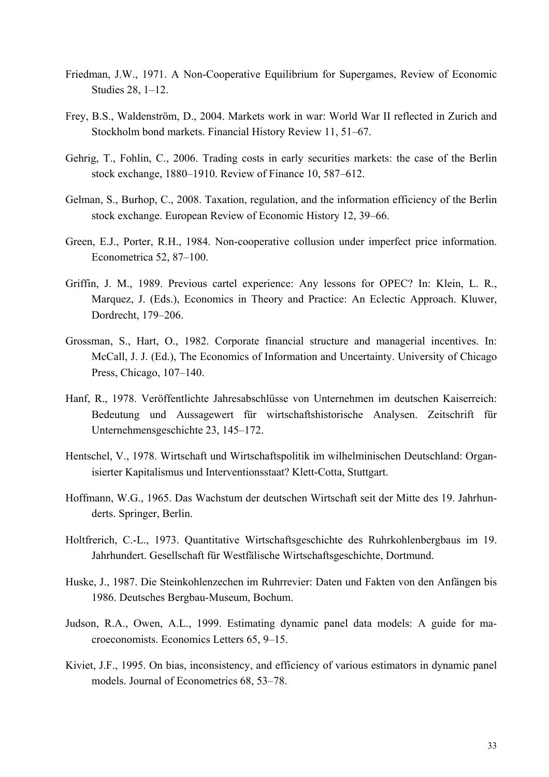- Friedman, J.W., 1971. A Non-Cooperative Equilibrium for Supergames, Review of Economic Studies 28, 1–12.
- Frey, B.S., Waldenström, D., 2004. Markets work in war: World War II reflected in Zurich and Stockholm bond markets. Financial History Review 11, 51–67.
- Gehrig, T., Fohlin, C., 2006. Trading costs in early securities markets: the case of the Berlin stock exchange, 1880–1910. Review of Finance 10, 587–612.
- Gelman, S., Burhop, C., 2008. Taxation, regulation, and the information efficiency of the Berlin stock exchange. European Review of Economic History 12, 39–66.
- Green, E.J., Porter, R.H., 1984. Non-cooperative collusion under imperfect price information. Econometrica 52, 87–100.
- Griffin, J. M., 1989. Previous cartel experience: Any lessons for OPEC? In: Klein, L. R., Marquez, J. (Eds.), Economics in Theory and Practice: An Eclectic Approach. Kluwer, Dordrecht, 179–206.
- Grossman, S., Hart, O., 1982. Corporate financial structure and managerial incentives. In: McCall, J. J. (Ed.), The Economics of Information and Uncertainty. University of Chicago Press, Chicago, 107–140.
- Hanf, R., 1978. Veröffentlichte Jahresabschlüsse von Unternehmen im deutschen Kaiserreich: Bedeutung und Aussagewert für wirtschaftshistorische Analysen. Zeitschrift für Unternehmensgeschichte 23, 145–172.
- Hentschel, V., 1978. Wirtschaft und Wirtschaftspolitik im wilhelminischen Deutschland: Organisierter Kapitalismus und Interventionsstaat? Klett-Cotta, Stuttgart.
- Hoffmann, W.G., 1965. Das Wachstum der deutschen Wirtschaft seit der Mitte des 19. Jahrhunderts. Springer, Berlin.
- Holtfrerich, C.-L., 1973. Quantitative Wirtschaftsgeschichte des Ruhrkohlenbergbaus im 19. Jahrhundert. Gesellschaft für Westfälische Wirtschaftsgeschichte, Dortmund.
- Huske, J., 1987. Die Steinkohlenzechen im Ruhrrevier: Daten und Fakten von den Anfängen bis 1986. Deutsches Bergbau-Museum, Bochum.
- Judson, R.A., Owen, A.L., 1999. Estimating dynamic panel data models: A guide for macroeconomists. Economics Letters 65, 9–15.
- Kiviet, J.F., 1995. On bias, inconsistency, and efficiency of various estimators in dynamic panel models. Journal of Econometrics 68, 53–78.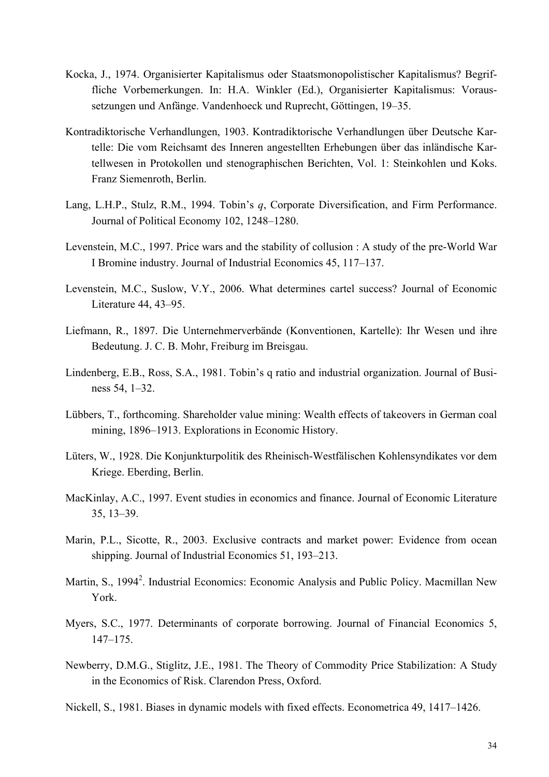- Kocka, J., 1974. Organisierter Kapitalismus oder Staatsmonopolistischer Kapitalismus? Begriffliche Vorbemerkungen. In: H.A. Winkler (Ed.), Organisierter Kapitalismus: Voraussetzungen und Anfänge. Vandenhoeck und Ruprecht, Göttingen, 19–35.
- Kontradiktorische Verhandlungen, 1903. Kontradiktorische Verhandlungen über Deutsche Kartelle: Die vom Reichsamt des Inneren angestellten Erhebungen über das inländische Kartellwesen in Protokollen und stenographischen Berichten, Vol. 1: Steinkohlen und Koks. Franz Siemenroth, Berlin.
- Lang, L.H.P., Stulz, R.M., 1994. Tobin's *q*, Corporate Diversification, and Firm Performance. Journal of Political Economy 102, 1248–1280.
- Levenstein, M.C., 1997. Price wars and the stability of collusion : A study of the pre-World War I Bromine industry. Journal of Industrial Economics 45, 117–137.
- Levenstein, M.C., Suslow, V.Y., 2006. What determines cartel success? Journal of Economic Literature 44, 43–95.
- Liefmann, R., 1897. Die Unternehmerverbände (Konventionen, Kartelle): Ihr Wesen und ihre Bedeutung. J. C. B. Mohr, Freiburg im Breisgau.
- Lindenberg, E.B., Ross, S.A., 1981. Tobin's q ratio and industrial organization. Journal of Business 54, 1–32.
- Lübbers, T., forthcoming. Shareholder value mining: Wealth effects of takeovers in German coal mining, 1896–1913. Explorations in Economic History.
- Lüters, W., 1928. Die Konjunkturpolitik des Rheinisch-Westfälischen Kohlensyndikates vor dem Kriege. Eberding, Berlin.
- MacKinlay, A.C., 1997. Event studies in economics and finance. Journal of Economic Literature 35, 13–39.
- Marin, P.L., Sicotte, R., 2003. Exclusive contracts and market power: Evidence from ocean shipping. Journal of Industrial Economics 51, 193–213.
- Martin, S., 1994<sup>2</sup>. Industrial Economics: Economic Analysis and Public Policy. Macmillan New York.
- Myers, S.C., 1977. Determinants of corporate borrowing. Journal of Financial Economics 5, 147–175.
- Newberry, D.M.G., Stiglitz, J.E., 1981. The Theory of Commodity Price Stabilization: A Study in the Economics of Risk. Clarendon Press, Oxford.

Nickell, S., 1981. Biases in dynamic models with fixed effects. Econometrica 49, 1417–1426.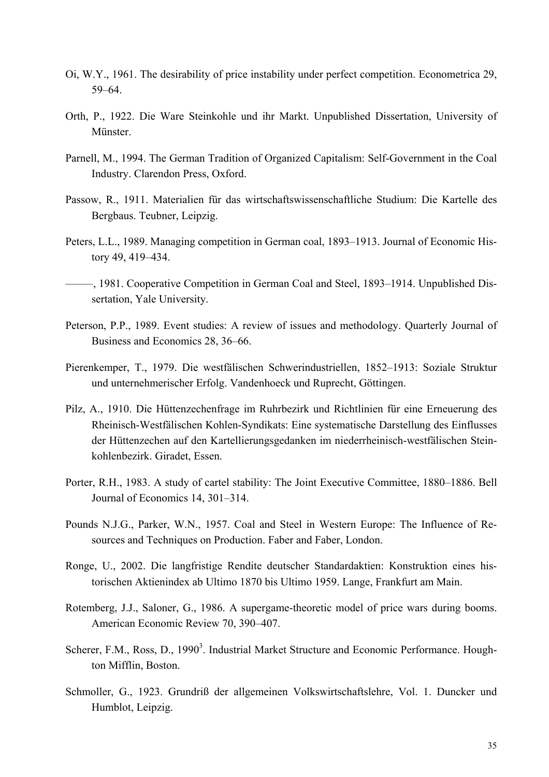- Oi, W.Y., 1961. The desirability of price instability under perfect competition. Econometrica 29, 59–64.
- Orth, P., 1922. Die Ware Steinkohle und ihr Markt. Unpublished Dissertation, University of Münster.
- Parnell, M., 1994. The German Tradition of Organized Capitalism: Self-Government in the Coal Industry. Clarendon Press, Oxford.
- Passow, R., 1911. Materialien für das wirtschaftswissenschaftliche Studium: Die Kartelle des Bergbaus. Teubner, Leipzig.
- Peters, L.L., 1989. Managing competition in German coal, 1893–1913. Journal of Economic History 49, 419–434.
- –––––, 1981. Cooperative Competition in German Coal and Steel, 1893–1914. Unpublished Dissertation, Yale University.
- Peterson, P.P., 1989. Event studies: A review of issues and methodology. Quarterly Journal of Business and Economics 28, 36–66.
- Pierenkemper, T., 1979. Die westfälischen Schwerindustriellen, 1852–1913: Soziale Struktur und unternehmerischer Erfolg. Vandenhoeck und Ruprecht, Göttingen.
- Pilz, A., 1910. Die Hüttenzechenfrage im Ruhrbezirk und Richtlinien für eine Erneuerung des Rheinisch-Westfälischen Kohlen-Syndikats: Eine systematische Darstellung des Einflusses der Hüttenzechen auf den Kartellierungsgedanken im niederrheinisch-westfälischen Steinkohlenbezirk. Giradet, Essen.
- Porter, R.H., 1983. A study of cartel stability: The Joint Executive Committee, 1880–1886. Bell Journal of Economics 14, 301–314.
- Pounds N.J.G., Parker, W.N., 1957. Coal and Steel in Western Europe: The Influence of Resources and Techniques on Production. Faber and Faber, London.
- Ronge, U., 2002. Die langfristige Rendite deutscher Standardaktien: Konstruktion eines historischen Aktienindex ab Ultimo 1870 bis Ultimo 1959. Lange, Frankfurt am Main.
- Rotemberg, J.J., Saloner, G., 1986. A supergame-theoretic model of price wars during booms. American Economic Review 70, 390–407.
- Scherer, F.M., Ross, D., 1990<sup>3</sup>. Industrial Market Structure and Economic Performance. Houghton Mifflin, Boston.
- Schmoller, G., 1923. Grundriß der allgemeinen Volkswirtschaftslehre, Vol. 1. Duncker und Humblot, Leipzig.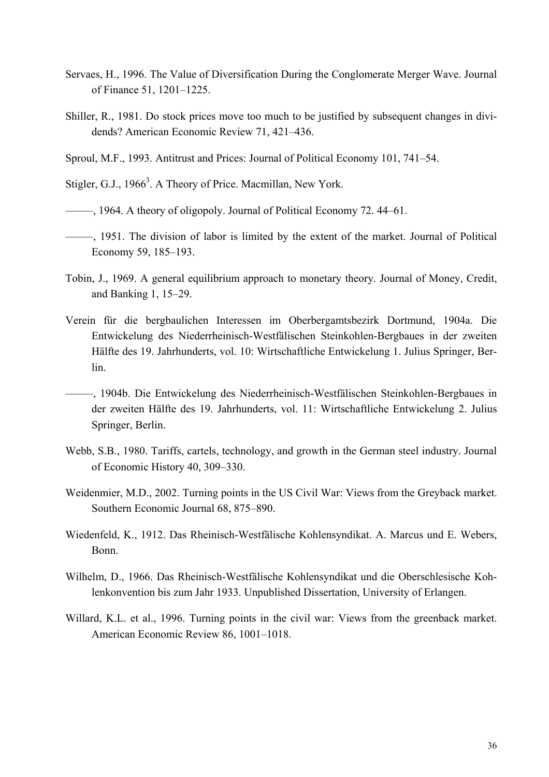- Servaes, H., 1996. The Value of Diversification During the Conglomerate Merger Wave. Journal of Finance 51, 1201–1225.
- Shiller, R., 1981. Do stock prices move too much to be justified by subsequent changes in dividends? American Economic Review 71, 421–436.
- Sproul, M.F., 1993. Antitrust and Prices: Journal of Political Economy 101, 741–54.
- Stigler, G.J., 1966<sup>3</sup>. A Theory of Price. Macmillan, New York.
- –––––, 1964. A theory of oligopoly. Journal of Political Economy 72. 44–61.
- –––––, 1951. The division of labor is limited by the extent of the market. Journal of Political Economy 59, 185–193.
- Tobin, J., 1969. A general equilibrium approach to monetary theory. Journal of Money, Credit, and Banking 1, 15–29.
- Verein für die bergbaulichen Interessen im Oberbergamtsbezirk Dortmund, 1904a. Die Entwickelung des Niederrheinisch-Westfälischen Steinkohlen-Bergbaues in der zweiten Hälfte des 19. Jahrhunderts, vol. 10: Wirtschaftliche Entwickelung 1. Julius Springer, Berlin.
- –––––, 1904b. Die Entwickelung des Niederrheinisch-Westfälischen Steinkohlen-Bergbaues in der zweiten Hälfte des 19. Jahrhunderts, vol. 11: Wirtschaftliche Entwickelung 2. Julius Springer, Berlin.
- Webb, S.B., 1980. Tariffs, cartels, technology, and growth in the German steel industry. Journal of Economic History 40, 309–330.
- Weidenmier, M.D., 2002. Turning points in the US Civil War: Views from the Greyback market. Southern Economic Journal 68, 875–890.
- Wiedenfeld, K., 1912. Das Rheinisch-Westfälische Kohlensyndikat. A. Marcus und E. Webers, Bonn.
- Wilhelm, D., 1966. Das Rheinisch-Westfälische Kohlensyndikat und die Oberschlesische Kohlenkonvention bis zum Jahr 1933. Unpublished Dissertation, University of Erlangen.
- Willard, K.L. et al., 1996. Turning points in the civil war: Views from the greenback market. American Economic Review 86, 1001–1018.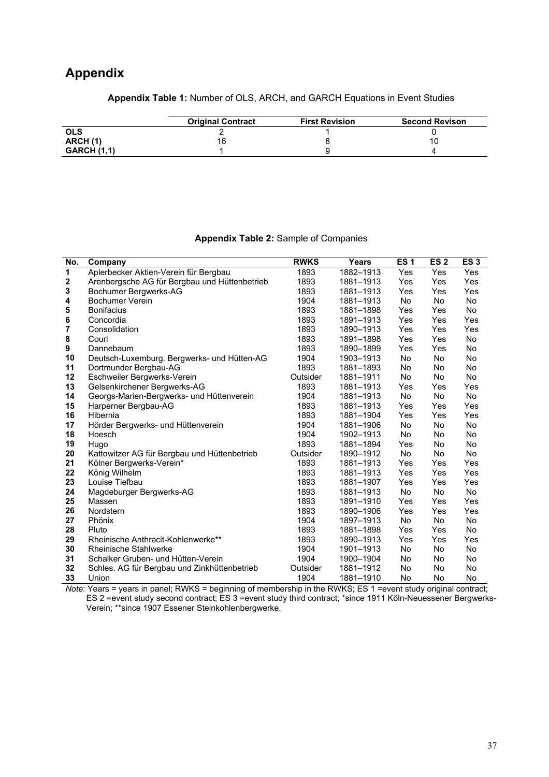# **Appendix**

**Appendix Table 1:** Number of OLS, ARCH, and GARCH Equations in Event Studies

|                    | <b>Original Contract</b> | <b>First Revision</b> | <b>Second Revison</b> |
|--------------------|--------------------------|-----------------------|-----------------------|
| <b>OLS</b>         |                          |                       |                       |
| <b>ARCH (1)</b>    | 16                       |                       | 10                    |
| <b>GARCH (1,1)</b> |                          |                       |                       |

#### **Appendix Table 2:** Sample of Companies

| No.         | Company                                       | <b>RWKS</b> | <b>Years</b> | <b>ES1</b> | ES <sub>2</sub> | ES <sub>3</sub> |
|-------------|-----------------------------------------------|-------------|--------------|------------|-----------------|-----------------|
| 1           | Aplerbecker Aktien-Verein für Bergbau         | 1893        | 1882-1913    | Yes        | Yes             | Yes             |
| $\mathbf 2$ | Arenbergsche AG für Bergbau und Hüttenbetrieb | 1893        | 1881-1913    | Yes        | Yes             | Yes             |
| 3           | Bochumer Bergwerks-AG                         | 1893        | 1881-1913    | Yes        | Yes             | Yes             |
| 4           | <b>Bochumer Verein</b>                        | 1904        | 1881-1913    | No         | No              | No              |
| 5           | <b>Bonifacius</b>                             | 1893        | 1881-1898    | Yes        | Yes             | <b>No</b>       |
| 6           | Concordia                                     | 1893        | 1891-1913    | Yes        | Yes             | Yes             |
| 7           | Consolidation                                 | 1893        | 1890-1913    | Yes        | Yes             | Yes             |
| 8           | Courl                                         | 1893        | 1891-1898    | Yes        | Yes             | <b>No</b>       |
| 9           | Dannebaum                                     | 1893        | 1890-1899    | Yes        | Yes             | No              |
| 10          | Deutsch-Luxemburg. Bergwerks- und Hütten-AG   | 1904        | 1903-1913    | No         | No.             | No              |
| 11          | Dortmunder Bergbau-AG                         | 1893        | 1881-1893    | No         | No.             | No.             |
| 12          | Eschweiler Bergwerks-Verein                   | Outsider    | 1881-1911    | No         | No              | No              |
| 13          | Gelsenkirchener Bergwerks-AG                  | 1893        | 1881-1913    | Yes        | Yes             | Yes             |
| 14          | Georgs-Marien-Bergwerks- und Hüttenverein     | 1904        | 1881-1913    | <b>No</b>  | <b>No</b>       | <b>No</b>       |
| 15          | Harperner Bergbau-AG                          | 1893        | 1881-1913    | Yes        | Yes             | Yes             |
| 16          | Hibernia                                      | 1893        | 1881-1904    | Yes        | Yes             | Yes             |
| 17          | Hörder Bergwerks- und Hüttenverein            | 1904        | 1881-1906    | <b>No</b>  | <b>No</b>       | <b>No</b>       |
| 18          | Hoesch                                        | 1904        | 1902-1913    | No.        | No.             | No              |
| 19          | Hugo                                          | 1893        | 1881-1894    | Yes        | No              | No              |
| 20          | Kattowitzer AG für Bergbau und Hüttenbetrieb  | Outsider    | 1890-1912    | No         | No              | No              |
| 21          | Kölner Bergwerks-Verein*                      | 1893        | 1881-1913    | Yes        | Yes             | Yes             |
| 22          | König Wilhelm                                 | 1893        | 1881-1913    | Yes        | Yes             | Yes             |
| 23          | Louise Tiefbau                                | 1893        | 1881-1907    | Yes        | Yes             | Yes             |
| 24          | Magdeburger Bergwerks-AG                      | 1893        | 1881-1913    | No         | <b>No</b>       | <b>No</b>       |
| 25          | Massen                                        | 1893        | 1891-1910    | Yes        | Yes             | Yes             |
| 26          | Nordstern                                     | 1893        | 1890-1906    | Yes        | Yes             | Yes             |
| 27          | Phönix                                        | 1904        | 1897-1913    | No         | No              | <b>No</b>       |
| 28          | Pluto                                         | 1893        | 1881-1898    | Yes        | Yes             | No.             |
| 29          | Rheinische Anthracit-Kohlenwerke**            | 1893        | 1890-1913    | Yes        | Yes             | Yes             |
| 30          | <b>Rheinische Stahlwerke</b>                  | 1904        | 1901-1913    | No.        | <b>No</b>       | <b>No</b>       |
| 31          | Schalker Gruben- und Hütten-Verein            | 1904        | 1900-1904    | No.        | No.             | <b>No</b>       |
| 32          | Schles. AG für Bergbau und Zinkhüttenbetrieb  | Outsider    | 1881-1912    | No         | No              | No              |
| 33          | Union                                         | 1904        | 1881-1910    | No         | No              | No              |

*Note*: Years = years in panel; RWKS = beginning of membership in the RWKS; ES 1 =event study original contract; ES 2 =event study second contract; ES 3 =event study third contract; \*since 1911 Köln-Neuessener Bergwerks-Verein; \*\*since 1907 Essener Steinkohlenbergwerke.